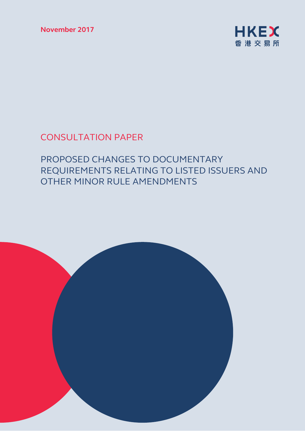**November 2017** 



# CONSULTATION PAPER

# PROPOSED CHANGES TO DOCUMENTARY REQUIREMENTS RELATING TO LISTED ISSUERS AND OTHER MINOR RULE AMENDMENTS

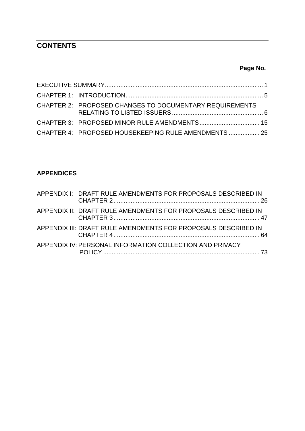# **CONTENTS**

# **Page No.**

| CHAPTER 2: PROPOSED CHANGES TO DOCUMENTARY REQUIREMENTS |  |
|---------------------------------------------------------|--|
|                                                         |  |
| CHAPTER 4: PROPOSED HOUSEKEEPING RULE AMENDMENTS  25    |  |

# **APPENDICES**

| APPENDIX I: DRAFT RULE AMENDMENTS FOR PROPOSALS DESCRIBED IN   |  |
|----------------------------------------------------------------|--|
| APPENDIX II: DRAFT RULE AMENDMENTS FOR PROPOSALS DESCRIBED IN  |  |
| APPENDIX III: DRAFT RULE AMENDMENTS FOR PROPOSALS DESCRIBED IN |  |
| APPENDIX IV: PERSONAL INFORMATION COLLECTION AND PRIVACY       |  |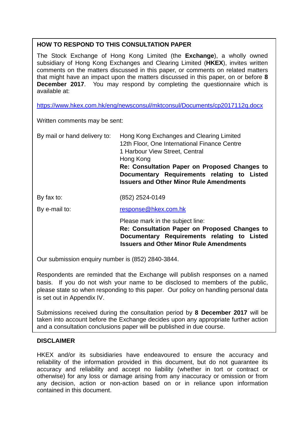## **HOW TO RESPOND TO THIS CONSULTATION PAPER**

The Stock Exchange of Hong Kong Limited (the **Exchange**), a wholly owned subsidiary of Hong Kong Exchanges and Clearing Limited (**HKEX**), invites written comments on the matters discussed in this paper, or comments on related matters that might have an impact upon the matters discussed in this paper, on or before **8 December 2017.** You may respond by completing the questionnaire which is available at:

<https://www.hkex.com.hk/eng/newsconsul/mktconsul/Documents/cp2017112q.docx>

Written comments may be sent:

| By mail or hand delivery to: | Hong Kong Exchanges and Clearing Limited<br>12th Floor, One International Finance Centre<br>1 Harbour View Street, Central<br>Hong Kong<br>Re: Consultation Paper on Proposed Changes to<br>Documentary Requirements relating to Listed<br><b>Issuers and Other Minor Rule Amendments</b> |
|------------------------------|-------------------------------------------------------------------------------------------------------------------------------------------------------------------------------------------------------------------------------------------------------------------------------------------|
| By fax to:                   | (852) 2524-0149                                                                                                                                                                                                                                                                           |
| By e-mail to:                | response@hkex.com.hk                                                                                                                                                                                                                                                                      |

Please mark in the subject line:

**Re: Consultation Paper on Proposed Changes to Documentary Requirements relating to Listed Issuers and Other Minor Rule Amendments**

Our submission enquiry number is (852) 2840-3844.

Respondents are reminded that the Exchange will publish responses on a named basis. If you do not wish your name to be disclosed to members of the public, please state so when responding to this paper. Our policy on handling personal data is set out in Appendix IV.

Submissions received during the consultation period by **8 December 2017** will be taken into account before the Exchange decides upon any appropriate further action and a consultation conclusions paper will be published in due course.

## **DISCLAIMER**

HKEX and/or its subsidiaries have endeavoured to ensure the accuracy and reliability of the information provided in this document, but do not guarantee its accuracy and reliability and accept no liability (whether in tort or contract or otherwise) for any loss or damage arising from any inaccuracy or omission or from any decision, action or non-action based on or in reliance upon information contained in this document.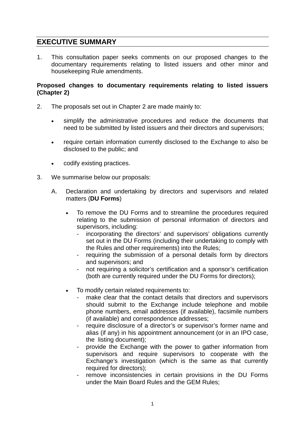# <span id="page-3-0"></span>**EXECUTIVE SUMMARY**

1. This consultation paper seeks comments on our proposed changes to the documentary requirements relating to listed issuers and other minor and housekeeping Rule amendments.

#### **Proposed changes to documentary requirements relating to listed issuers (Chapter 2)**

- 2. The proposals set out in Chapter 2 are made mainly to:
	- simplify the administrative procedures and reduce the documents that need to be submitted by listed issuers and their directors and supervisors;
	- require certain information currently disclosed to the Exchange to also be disclosed to the public; and
	- codify existing practices.
- 3. We summarise below our proposals:
	- A. Declaration and undertaking by directors and supervisors and related matters (**DU Forms**)
		- To remove the DU Forms and to streamline the procedures required relating to the submission of personal information of directors and supervisors, including:
			- incorporating the directors' and supervisors' obligations currently set out in the DU Forms (including their undertaking to comply with the Rules and other requirements) into the Rules;
			- requiring the submission of a personal details form by directors and supervisors; and
			- not requiring a solicitor's certification and a sponsor's certification (both are currently required under the DU Forms for directors);
		- To modify certain related requirements to:
			- make clear that the contact details that directors and supervisors should submit to the Exchange include telephone and mobile phone numbers, email addresses (if available), facsimile numbers (if available) and correspondence addresses;
			- require disclosure of a director's or supervisor's former name and alias (if any) in his appointment announcement (or in an IPO case, the listing document);
			- provide the Exchange with the power to gather information from supervisors and require supervisors to cooperate with the Exchange's investigation (which is the same as that currently required for directors);
			- remove inconsistencies in certain provisions in the DU Forms under the Main Board Rules and the GEM Rules;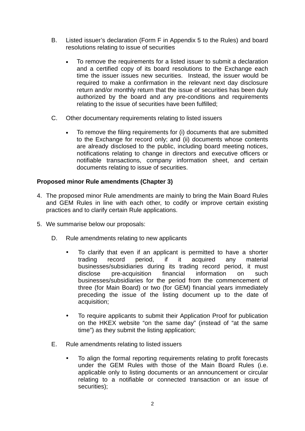- B. Listed issuer's declaration (Form F in Appendix 5 to the Rules) and board resolutions relating to issue of securities
	- To remove the requirements for a listed issuer to submit a declaration and a certified copy of its board resolutions to the Exchange each time the issuer issues new securities. Instead, the issuer would be required to make a confirmation in the relevant next day disclosure return and/or monthly return that the issue of securities has been duly authorized by the board and any pre-conditions and requirements relating to the issue of securities have been fulfilled;
- C. Other documentary requirements relating to listed issuers
	- To remove the filing requirements for (i) documents that are submitted to the Exchange for record only; and (ii) documents whose contents are already disclosed to the public, including board meeting notices, notifications relating to change in directors and executive officers or notifiable transactions, company information sheet, and certain documents relating to issue of securities.

### **Proposed minor Rule amendments (Chapter 3)**

- 4. The proposed minor Rule amendments are mainly to bring the Main Board Rules and GEM Rules in line with each other, to codify or improve certain existing practices and to clarify certain Rule applications.
- 5. We summarise below our proposals:
	- D. Rule amendments relating to new applicants
		- To clarify that even if an applicant is permitted to have a shorter trading record period, if it acquired any material businesses/subsidiaries during its trading record period, it must disclose pre-acquisition financial information on such businesses/subsidiaries for the period from the commencement of three (for Main Board) or two (for GEM) financial years immediately preceding the issue of the listing document up to the date of acquisition;
		- To require applicants to submit their Application Proof for publication on the HKEX website "on the same day" (instead of "at the same time") as they submit the listing application;
	- E. Rule amendments relating to listed issuers
		- To align the formal reporting requirements relating to profit forecasts under the GEM Rules with those of the Main Board Rules (i.e. applicable only to listing documents or an announcement or circular relating to a notifiable or connected transaction or an issue of securities);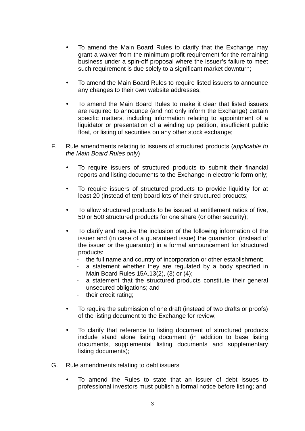- To amend the Main Board Rules to clarify that the Exchange may grant a waiver from the minimum profit requirement for the remaining business under a spin-off proposal where the issuer's failure to meet such requirement is due solely to a significant market downturn;
- To amend the Main Board Rules to require listed issuers to announce any changes to their own website addresses;
- To amend the Main Board Rules to make it clear that listed issuers are required to announce (and not only inform the Exchange) certain specific matters, including information relating to appointment of a liquidator or presentation of a winding up petition, insufficient public float, or listing of securities on any other stock exchange;
- F. Rule amendments relating to issuers of structured products (*applicable to the Main Board Rules only*)
	- To require issuers of structured products to submit their financial reports and listing documents to the Exchange in electronic form only;
	- To require issuers of structured products to provide liquidity for at least 20 (instead of ten) board lots of their structured products;
	- To allow structured products to be issued at entitlement ratios of five, 50 or 500 structured products for one share (or other security);
	- To clarify and require the inclusion of the following information of the issuer and (in case of a guaranteed issue) the guarantor (instead of the issuer or the guarantor) in a formal announcement for structured products:
		- the full name and country of incorporation or other establishment;
		- a statement whether they are regulated by a body specified in Main Board Rules 15A.13(2), (3) or (4);
		- a statement that the structured products constitute their general unsecured obligations; and
		- their credit rating;
	- To require the submission of one draft (instead of two drafts or proofs) of the listing document to the Exchange for review;
	- To clarify that reference to listing document of structured products include stand alone listing document (in addition to base listing documents, supplemental listing documents and supplementary listing documents);
- G. Rule amendments relating to debt issuers
	- To amend the Rules to state that an issuer of debt issues to professional investors must publish a formal notice before listing; and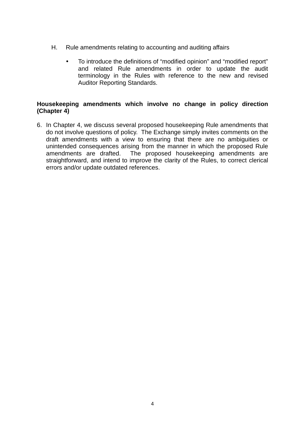- H. Rule amendments relating to accounting and auditing affairs
	- To introduce the definitions of "modified opinion" and "modified report" and related Rule amendments in order to update the audit terminology in the Rules with reference to the new and revised Auditor Reporting Standards.

### **Housekeeping amendments which involve no change in policy direction (Chapter 4)**

6. In Chapter 4, we discuss several proposed housekeeping Rule amendments that do not involve questions of policy. The Exchange simply invites comments on the draft amendments with a view to ensuring that there are no ambiguities or unintended consequences arising from the manner in which the proposed Rule amendments are drafted. The proposed housekeeping amendments are straightforward, and intend to improve the clarity of the Rules, to correct clerical errors and/or update outdated references.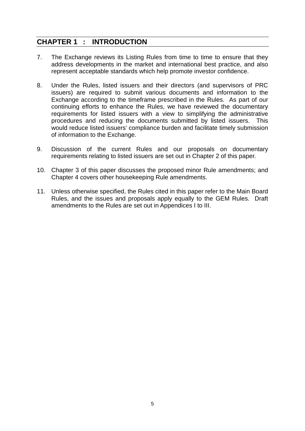# <span id="page-7-0"></span>**CHAPTER 1 : INTRODUCTION**

- 7. The Exchange reviews its Listing Rules from time to time to ensure that they address developments in the market and international best practice, and also represent acceptable standards which help promote investor confidence.
- 8. Under the Rules, listed issuers and their directors (and supervisors of PRC issuers) are required to submit various documents and information to the Exchange according to the timeframe prescribed in the Rules. As part of our continuing efforts to enhance the Rules, we have reviewed the documentary requirements for listed issuers with a view to simplifying the administrative procedures and reducing the documents submitted by listed issuers. This would reduce listed issuers' compliance burden and facilitate timely submission of information to the Exchange.
- 9. Discussion of the current Rules and our proposals on documentary requirements relating to listed issuers are set out in Chapter 2 of this paper.
- 10. Chapter 3 of this paper discusses the proposed minor Rule amendments; and Chapter 4 covers other housekeeping Rule amendments.
- 11. Unless otherwise specified, the Rules cited in this paper refer to the Main Board Rules, and the issues and proposals apply equally to the GEM Rules. Draft amendments to the Rules are set out in Appendices I to III.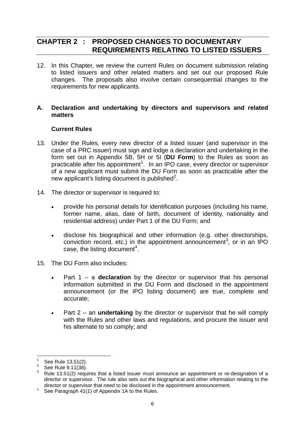## <span id="page-8-0"></span>**CHAPTER 2 : PROPOSED CHANGES TO DOCUMENTARY REQUIREMENTS RELATING TO LISTED ISSUERS**

12. In this Chapter, we review the current Rules on document submission relating to listed issuers and other related matters and set out our proposed Rule changes. The proposals also involve certain consequential changes to the requirements for new applicants.

#### **A. Declaration and undertaking by directors and supervisors and related matters**

### **Current Rules**

- 13. Under the Rules, every new director of a listed issuer (and supervisor in the case of a PRC issuer) must sign and lodge a declaration and undertaking in the form set out in Appendix 5B, 5H or 5I (**DU Form**) to the Rules as soon as practicable after his appointment<sup>[1](#page-8-1)</sup>. In an IPO case, every director or supervisor of a new applicant must submit the DU Form as soon as practicable after the new applicant's listing document is published<sup>[2](#page-8-2)</sup>.
- 14. The director or supervisor is required to:
	- provide his personal details for identification purposes (including his name, former name, alias, date of birth, document of identity, nationality and residential address) under Part 1 of the DU Form; and
	- disclose his biographical and other information (e.g. other directorships, conviction record, etc.) in the appointment announcement<sup>[3](#page-8-3)</sup>, or in an IPO case, the listing document<sup>[4](#page-8-4)</sup>.
- 15. The DU Form also includes:
	- Part 1 a **declaration** by the director or supervisor that his personal information submitted in the DU Form and disclosed in the appointment announcement (or the IPO listing document) are true, complete and accurate;
	- Part 2 an **undertaking** by the director or supervisor that he will comply with the Rules and other laws and regulations, and procure the issuer and his alternate to so comply; and

<span id="page-8-3"></span>

<span id="page-8-2"></span><span id="page-8-1"></span><sup>1</sup> See Rule 13.51(2).<br><sup>2</sup> See Rule 9.11(38).<br><sup>3</sup> Rule 13.51(2) requires that a listed issuer must announce an appointment or re-designation of a director or supervisor. The rule also sets out the biographical and other information relating to the director or supervisor that need to be disclosed in the appointment announcement.

<span id="page-8-4"></span> $4$  See Paragraph 41(1) of Appendix 1A to the Rules.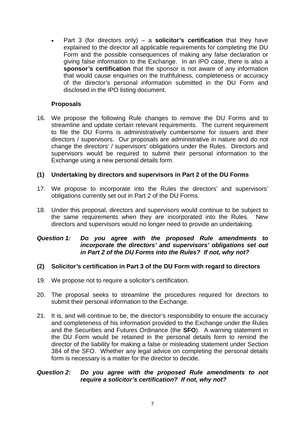• Part 3 (for directors only) – a **solicitor's certification** that they have explained to the director all applicable requirements for completing the DU Form and the possible consequences of making any false declaration or giving false information to the Exchange. In an IPO case, there is also a **sponsor's certification** that the sponsor is not aware of any information that would cause enquiries on the truthfulness, completeness or accuracy of the director's personal information submitted in the DU Form and disclosed in the IPO listing document.

### **Proposals**

16. We propose the following Rule changes to remove the DU Forms and to streamline and update certain relevant requirements. The current requirement to file the DU Forms is administratively cumbersome for issuers and their directors / supervisors. Our proposals are administrative in nature and do not change the directors' / supervisors' obligations under the Rules. Directors and supervisors would be required to submit their personal information to the Exchange using a new personal details form.

### **(1) Undertaking by directors and supervisors in Part 2 of the DU Forms**

- 17. We propose to incorporate into the Rules the directors' and supervisors' obligations currently set out in Part 2 of the DU Forms.
- 18. Under this proposal, directors and supervisors would continue to be subject to the same requirements when they are incorporated into the Rules. New directors and supervisors would no longer need to provide an undertaking.

#### *Question 1: Do you agree with the proposed Rule amendments to incorporate the directors' and supervisors' obligations set out in Part 2 of the DU Forms into the Rules? If not, why not?*

## **(2) Solicitor's certification in Part 3 of the DU Form with regard to directors**

- 19. We propose not to require a solicitor's certification.
- 20. The proposal seeks to streamline the procedures required for directors to submit their personal information to the Exchange.
- 21. It is, and will continue to be, the director's responsibility to ensure the accuracy and completeness of his information provided to the Exchange under the Rules and the Securities and Futures Ordinance (the **SFO**). A warning statement in the DU Form would be retained in the personal details form to remind the director of the liability for making a false or misleading statement under Section 384 of the SFO. Whether any legal advice on completing the personal details form is necessary is a matter for the director to decide.

#### *Question 2: Do you agree with the proposed Rule amendments to not require a solicitor's certification? If not, why not?*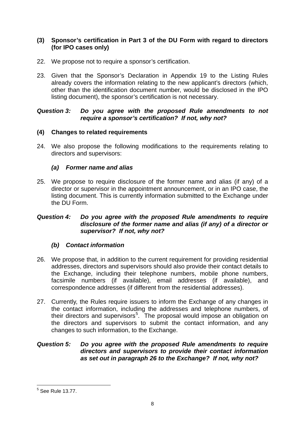### **(3) Sponsor's certification in Part 3 of the DU Form with regard to directors (for IPO cases only)**

- 22. We propose not to require a sponsor's certification.
- 23. Given that the Sponsor's Declaration in Appendix 19 to the Listing Rules already covers the information relating to the new applicant's directors (which, other than the identification document number, would be disclosed in the IPO listing document), the sponsor's certification is not necessary.

#### *Question 3: Do you agree with the proposed Rule amendments to not require a sponsor's certification? If not, why not?*

### **(4) Changes to related requirements**

24. We also propose the following modifications to the requirements relating to directors and supervisors:

## *(a) Former name and alias*

25. We propose to require disclosure of the former name and alias (if any) of a director or supervisor in the appointment announcement, or in an IPO case, the listing document. This is currently information submitted to the Exchange under the DU Form.

#### *Question 4: Do you agree with the proposed Rule amendments to require disclosure of the former name and alias (if any) of a director or supervisor? If not, why not?*

#### *(b) Contact information*

- 26. We propose that, in addition to the current requirement for providing residential addresses, directors and supervisors should also provide their contact details to the Exchange, including their telephone numbers, mobile phone numbers, facsimile numbers (if available), email addresses (if available), and correspondence addresses (if different from the residential addresses).
- 27. Currently, the Rules require issuers to inform the Exchange of any changes in the contact information, including the addresses and telephone numbers, of their directors and supervisors<sup>[5](#page-10-0)</sup>. The proposal would impose an obligation on the directors and supervisors to submit the contact information, and any changes to such information, to the Exchange.

#### *Question 5: Do you agree with the proposed Rule amendments to require directors and supervisors to provide their contact information as set out in paragraph 26 to the Exchange? If not, why not?*

<span id="page-10-0"></span> $<sup>5</sup>$  See Rule 13.77.</sup>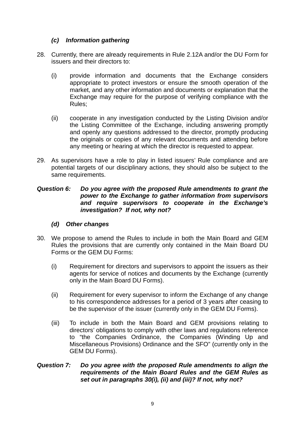## *(c) Information gathering*

- 28. Currently, there are already requirements in Rule 2.12A and/or the DU Form for issuers and their directors to:
	- (i) provide information and documents that the Exchange considers appropriate to protect investors or ensure the smooth operation of the market, and any other information and documents or explanation that the Exchange may require for the purpose of verifying compliance with the Rules;
	- (ii) cooperate in any investigation conducted by the Listing Division and/or the Listing Committee of the Exchange, including answering promptly and openly any questions addressed to the director, promptly producing the originals or copies of any relevant documents and attending before any meeting or hearing at which the director is requested to appear.
- 29. As supervisors have a role to play in listed issuers' Rule compliance and are potential targets of our disciplinary actions, they should also be subject to the same requirements.

#### *Question 6: Do you agree with the proposed Rule amendments to grant the power to the Exchange to gather information from supervisors and require supervisors to cooperate in the Exchange's investigation? If not, why not?*

#### *(d) Other changes*

- 30. We propose to amend the Rules to include in both the Main Board and GEM Rules the provisions that are currently only contained in the Main Board DU Forms or the GEM DU Forms:
	- (i) Requirement for directors and supervisors to appoint the issuers as their agents for service of notices and documents by the Exchange (currently only in the Main Board DU Forms).
	- (ii) Requirement for every supervisor to inform the Exchange of any change to his correspondence addresses for a period of 3 years after ceasing to be the supervisor of the issuer (currently only in the GEM DU Forms).
	- (iii) To include in both the Main Board and GEM provisions relating to directors' obligations to comply with other laws and regulations reference to "the Companies Ordinance, the Companies (Winding Up and Miscellaneous Provisions) Ordinance and the SFO" (currently only in the GEM DU Forms).

### *Question 7: Do you agree with the proposed Rule amendments to align the requirements of the Main Board Rules and the GEM Rules as set out in paragraphs 30(i), (ii) and (iii)? If not, why not?*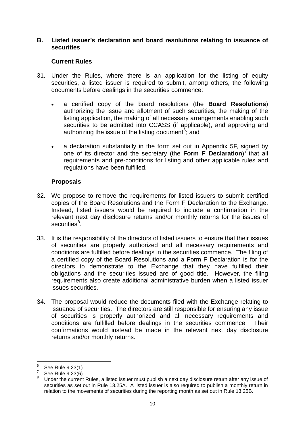#### **B. Listed issuer's declaration and board resolutions relating to issuance of securities**

### **Current Rules**

- 31. Under the Rules, where there is an application for the listing of equity securities, a listed issuer is required to submit, among others, the following documents before dealings in the securities commence:
	- a certified copy of the board resolutions (the **Board Resolutions**) authorizing the issue and allotment of such securities, the making of the listing application, the making of all necessary arrangements enabling such securities to be admitted into CCASS (if applicable), and approving and authorizing the issue of the listing document<sup>[6](#page-12-0)</sup>; and
	- a declaration substantially in the form set out in Appendix 5F, signed by one of its director and the secretary (the **Form F Declaration**) [7](#page-12-1) that all requirements and pre-conditions for listing and other applicable rules and regulations have been fulfilled.

### **Proposals**

- 32. We propose to remove the requirements for listed issuers to submit certified copies of the Board Resolutions and the Form F Declaration to the Exchange. Instead, listed issuers would be required to include a confirmation in the relevant next day disclosure returns and/or monthly returns for the issues of securities<sup>[8](#page-12-2)</sup>.
- 33. It is the responsibility of the directors of listed issuers to ensure that their issues of securities are properly authorized and all necessary requirements and conditions are fulfilled before dealings in the securities commence. The filing of a certified copy of the Board Resolutions and a Form F Declaration is for the directors to demonstrate to the Exchange that they have fulfilled their obligations and the securities issued are of good title. However, the filing requirements also create additional administrative burden when a listed issuer issues securities.
- 34. The proposal would reduce the documents filed with the Exchange relating to issuance of securities. The directors are still responsible for ensuring any issue of securities is properly authorized and all necessary requirements and conditions are fulfilled before dealings in the securities commence. Their confirmations would instead be made in the relevant next day disclosure returns and/or monthly returns.

<span id="page-12-2"></span>

<span id="page-12-1"></span><span id="page-12-0"></span><sup>&</sup>lt;sup>6</sup> See Rule 9.23(1).<br><sup>7</sup> See Rule 9.23(6).<br><sup>8</sup> Under the current Rules, a listed issuer must publish a next day disclosure return after any issue of securities as set out in Rule 13.25A. A listed issuer is also required to publish a monthly return in relation to the movements of securities during the reporting month as set out in Rule 13.25B.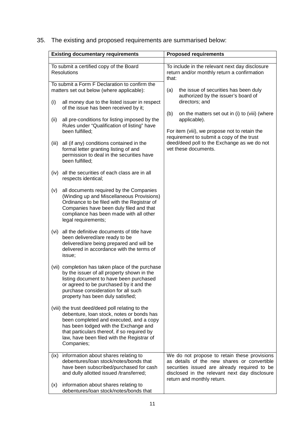|  |  |  |  | 35. The existing and proposed requirements are summarised below: |
|--|--|--|--|------------------------------------------------------------------|
|--|--|--|--|------------------------------------------------------------------|

| <b>Existing documentary requirements</b>                                                                       |                                                                                                                                                                                                                                                                                             | <b>Proposed requirements</b>                                                                                                                                                                                               |  |  |
|----------------------------------------------------------------------------------------------------------------|---------------------------------------------------------------------------------------------------------------------------------------------------------------------------------------------------------------------------------------------------------------------------------------------|----------------------------------------------------------------------------------------------------------------------------------------------------------------------------------------------------------------------------|--|--|
| To submit a certified copy of the Board<br><b>Resolutions</b><br>To submit a Form F Declaration to confirm the |                                                                                                                                                                                                                                                                                             | To include in the relevant next day disclosure<br>return and/or monthly return a confirmation<br>that:                                                                                                                     |  |  |
|                                                                                                                | matters set out below (where applicable):                                                                                                                                                                                                                                                   | the issue of securities has been duly<br>(a)<br>authorized by the issuer's board of                                                                                                                                        |  |  |
| (i)                                                                                                            | all money due to the listed issuer in respect<br>of the issue has been received by it;                                                                                                                                                                                                      | directors; and<br>(b)<br>on the matters set out in (i) to (viii) (where                                                                                                                                                    |  |  |
| (ii)                                                                                                           | all pre-conditions for listing imposed by the<br>Rules under "Qualification of listing" have<br>been fulfilled;                                                                                                                                                                             | applicable).<br>For item (viii), we propose not to retain the                                                                                                                                                              |  |  |
| (iii)                                                                                                          | all (if any) conditions contained in the<br>formal letter granting listing of and<br>permission to deal in the securities have<br>been fulfilled;                                                                                                                                           | requirement to submit a copy of the trust<br>deed/deed poll to the Exchange as we do not<br>vet these documents.                                                                                                           |  |  |
| (iv)                                                                                                           | all the securities of each class are in all<br>respects identical;                                                                                                                                                                                                                          |                                                                                                                                                                                                                            |  |  |
| (v)                                                                                                            | all documents required by the Companies<br>(Winding up and Miscellaneous Provisions)<br>Ordinance to be filed with the Registrar of<br>Companies have been duly filed and that<br>compliance has been made with all other<br>legal requirements;                                            |                                                                                                                                                                                                                            |  |  |
| (vi)                                                                                                           | all the definitive documents of title have<br>been delivered/are ready to be<br>delivered/are being prepared and will be<br>delivered in accordance with the terms of<br>issue;                                                                                                             |                                                                                                                                                                                                                            |  |  |
|                                                                                                                | (vii) completion has taken place of the purchase<br>by the issuer of all property shown in the<br>listing document to have been purchased<br>or agreed to be purchased by it and the<br>purchase consideration for all such<br>property has been duly satisfied;                            |                                                                                                                                                                                                                            |  |  |
|                                                                                                                | (viii) the trust deed/deed poll relating to the<br>debenture, loan stock, notes or bonds has<br>been completed and executed, and a copy<br>has been lodged with the Exchange and<br>that particulars thereof, if so required by<br>law, have been filed with the Registrar of<br>Companies; |                                                                                                                                                                                                                            |  |  |
| (ix)                                                                                                           | information about shares relating to<br>debentures/loan stock/notes/bonds that<br>have been subscribed/purchased for cash<br>and dully allotted issued /transferred;                                                                                                                        | We do not propose to retain these provisions<br>as details of the new shares or convertible<br>securities issued are already required to be<br>disclosed in the relevant next day disclosure<br>return and monthly return. |  |  |
| (x)                                                                                                            | information about shares relating to<br>debentures/loan stock/notes/bonds that                                                                                                                                                                                                              |                                                                                                                                                                                                                            |  |  |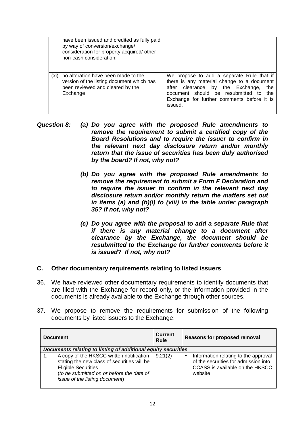|      | have been issued and credited as fully paid<br>by way of conversion/exchange/<br>consideration for property acquired/ other<br>non-cash consideration; |                                                                                                                                                                                                                                         |
|------|--------------------------------------------------------------------------------------------------------------------------------------------------------|-----------------------------------------------------------------------------------------------------------------------------------------------------------------------------------------------------------------------------------------|
| (xi) | no alteration have been made to the<br>version of the listing document which has<br>been reviewed and cleared by the<br>Exchange                       | We propose to add a separate Rule that if<br>there is any material change to a document<br>after clearance by the Exchange,<br>the<br>document should be resubmitted to<br>the<br>Exchange for further comments before it is<br>issued. |

- *Question 8: (a) Do you agree with the proposed Rule amendments to remove the requirement to submit a certified copy of the Board Resolutions and to require the issuer to confirm in the relevant next day disclosure return and/or monthly return that the issue of securities has been duly authorised by the board? If not, why not?*
	- *(b) Do you agree with the proposed Rule amendments to remove the requirement to submit a Form F Declaration and to require the issuer to confirm in the relevant next day disclosure return and/or monthly return the matters set out in items (a) and (b)(i) to (viii) in the table under paragraph 35? If not, why not?*
	- *(c) Do you agree with the proposal to add a separate Rule that if there is any material change to a document after clearance by the Exchange, the document should be resubmitted to the Exchange for further comments before it is issued? If not, why not?*

#### **C. Other documentary requirements relating to listed issuers**

- 36. We have reviewed other documentary requirements to identify documents that are filed with the Exchange for record only, or the information provided in the documents is already available to the Exchange through other sources.
- 37. We propose to remove the requirements for submission of the following documents by listed issuers to the Exchange:

| <b>Document</b> |                                                                                                                                                                                                      | <b>Current</b><br><b>Rule</b> | Reasons for proposed removal                                                                                                            |
|-----------------|------------------------------------------------------------------------------------------------------------------------------------------------------------------------------------------------------|-------------------------------|-----------------------------------------------------------------------------------------------------------------------------------------|
|                 | Documents relating to listing of additional equity securities                                                                                                                                        |                               |                                                                                                                                         |
|                 | A copy of the HKSCC written notification<br>stating the new class of securities will be<br><b>Eligible Securities</b><br>(to be submitted on or before the date of<br>issue of the listing document) | 9.21(2)                       | Information relating to the approval<br>$\bullet$<br>of the securities for admission into<br>CCASS is available on the HKSCC<br>website |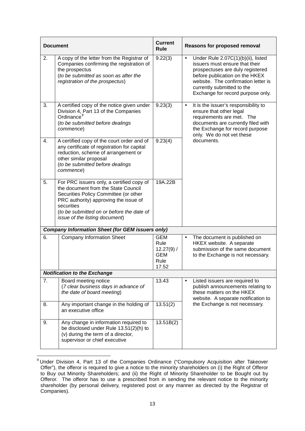| <b>Document</b>                     |                                                                                                                                                                                                                                                                 | <b>Current</b><br><b>Rule</b>                                     |           | Reasons for proposed removal                                                                                                                                                                                                                         |
|-------------------------------------|-----------------------------------------------------------------------------------------------------------------------------------------------------------------------------------------------------------------------------------------------------------------|-------------------------------------------------------------------|-----------|------------------------------------------------------------------------------------------------------------------------------------------------------------------------------------------------------------------------------------------------------|
| 2.                                  | A copy of the letter from the Registrar of<br>Companies confirming the registration of<br>the prospectus<br>(to be submitted as soon as after the<br>registration of the prospectus)                                                                            | 9.22(3)                                                           | $\bullet$ | Under Rule 2.07C(1)(b)(ii), listed<br>issuers must ensure that their<br>prospectuses are duly registered<br>before publication on the HKEX<br>website. The confirmation letter is<br>currently submitted to the<br>Exchange for record purpose only. |
| 3.                                  | A certified copy of the notice given under<br>Division 4, Part 13 of the Companies<br>Ordinance <sup>9</sup><br>(to be submitted before dealings<br>commence)                                                                                                   | 9.23(3)                                                           | $\bullet$ | It is the issuer's responsibility to<br>ensure that other legal<br>requirements are met. The<br>documents are currently filed with<br>the Exchange for record purpose<br>only. We do not vet these                                                   |
| 4.                                  | A certified copy of the court order and of<br>any certificate of registration for capital<br>reduction, scheme of arrangement or<br>other similar proposal<br>(to be submitted before dealings<br>commence)                                                     | 9.23(4)                                                           |           | documents.                                                                                                                                                                                                                                           |
| 5.                                  | For PRC issuers only, a certified copy of<br>the document from the State Council<br>Securities Policy Committee (or other<br>PRC authority) approving the issue of<br>securities<br>(to be submitted on or before the date of<br>issue of the listing document) | 19A.22B                                                           |           |                                                                                                                                                                                                                                                      |
|                                     | <b>Company Information Sheet (for GEM issuers only)</b>                                                                                                                                                                                                         |                                                                   |           |                                                                                                                                                                                                                                                      |
| 6.                                  | <b>Company Information Sheet</b>                                                                                                                                                                                                                                | <b>GEM</b><br>Rule<br>$12.27(9)$ /<br><b>GEM</b><br>Rule<br>17.52 | $\bullet$ | The document is published on<br>HKEX website. A separate<br>submission of the same document<br>to the Exchange is not necessary.                                                                                                                     |
| <b>Notification to the Exchange</b> |                                                                                                                                                                                                                                                                 |                                                                   |           |                                                                                                                                                                                                                                                      |
| 7.                                  | Board meeting notice<br>(7 clear business days in advance of<br>the date of board meeting)                                                                                                                                                                      | 13.43                                                             | ٠         | Listed issuers are required to<br>publish announcements relating to<br>these matters on the HKEX<br>website. A separate notification to                                                                                                              |
| 8.                                  | Any important change in the holding of<br>an executive office                                                                                                                                                                                                   | 13.51(2)                                                          |           | the Exchange is not necessary.                                                                                                                                                                                                                       |
| 9.                                  | Any change in information required to<br>be disclosed under Rule 13.51(2)(h) to<br>(v) during the term of a director,<br>supervisor or chief executive                                                                                                          | 13.51B(2)                                                         |           |                                                                                                                                                                                                                                                      |

<span id="page-15-0"></span><sup>&</sup>lt;sup>9</sup> Under Division 4, Part 13 of the Companies Ordinance ("Compulsory Acquisition after Takeover Offer"), the offeror is required to give a notice to the minority shareholders on (i) the Right of Offeror to Buy out Minority Shareholders; and (ii) the Right of Minority Shareholder to be Bought out by Offeror. The offeror has to use a prescribed from in sending the relevant notice to the minority shareholder (by personal delivery, registered post or any manner as directed by the Registrar of Companies).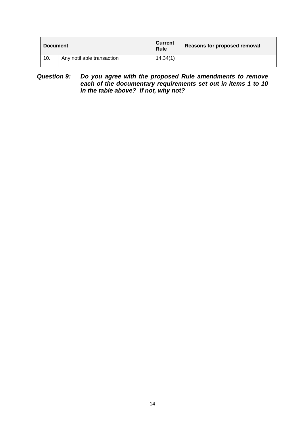| <b>Document</b> |                            | <b>Current</b><br><b>Rule</b> | Reasons for proposed removal |
|-----------------|----------------------------|-------------------------------|------------------------------|
| 10.             | Any notifiable transaction | 14.34(1)                      |                              |

#### *Question 9: Do you agree with the proposed Rule amendments to remove each of the documentary requirements set out in items 1 to 10 in the table above? If not, why not?*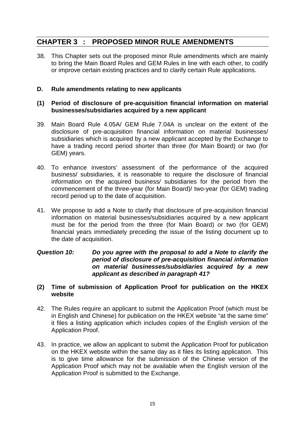## <span id="page-17-0"></span>**CHAPTER 3 : PROPOSED MINOR RULE AMENDMENTS**

38. This Chapter sets out the proposed minor Rule amendments which are mainly to bring the Main Board Rules and GEM Rules in line with each other, to codify or improve certain existing practices and to clarify certain Rule applications.

### **D. Rule amendments relating to new applicants**

#### **(1) Period of disclosure of pre-acquisition financial information on material businesses/subsidiaries acquired by a new applicant**

- 39. Main Board Rule 4.05A/ GEM Rule 7.04A is unclear on the extent of the disclosure of pre-acquisition financial information on material businesses/ subsidiaries which is acquired by a new applicant accepted by the Exchange to have a trading record period shorter than three (for Main Board) or two (for GEM) years.
- 40. To enhance investors' assessment of the performance of the acquired business/ subsidiaries, it is reasonable to require the disclosure of financial information on the acquired business/ subsidiaries for the period from the commencement of the three-year (for Main Board)/ two-year (for GEM) trading record period up to the date of acquisition.
- 41. We propose to add a Note to clarify that disclosure of pre-acquisition financial information on material businesses/subsidiaries acquired by a new applicant must be for the period from the three (for Main Board) or two (for GEM) financial years immediately preceding the issue of the listing document up to the date of acquisition.

### *Question 10: Do you agree with the proposal to add a Note to clarify the period of disclosure of pre-acquisition financial information on material businesses/subsidiaries acquired by a new applicant as described in paragraph 41?*

#### **(2) Time of submission of Application Proof for publication on the HKEX website**

- 42. The Rules require an applicant to submit the Application Proof (which must be in English and Chinese) for publication on the HKEX website "at the same time" it files a listing application which includes copies of the English version of the Application Proof.
- 43. In practice, we allow an applicant to submit the Application Proof for publication on the HKEX website within the same day as it files its listing application. This is to give time allowance for the submission of the Chinese version of the Application Proof which may not be available when the English version of the Application Proof is submitted to the Exchange.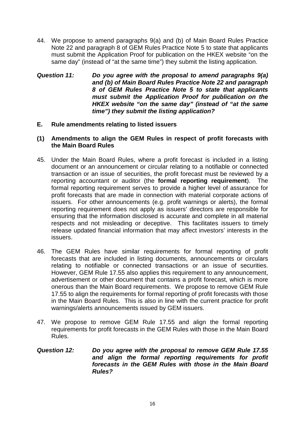- 44. We propose to amend paragraphs 9(a) and (b) of Main Board Rules Practice Note 22 and paragraph 8 of GEM Rules Practice Note 5 to state that applicants must submit the Application Proof for publication on the HKEX website "on the same day" (instead of "at the same time") they submit the listing application.
- *Question 11: Do you agree with the proposal to amend paragraphs 9(a) and (b) of Main Board Rules Practice Note 22 and paragraph 8 of GEM Rules Practice Note 5 to state that applicants must submit the Application Proof for publication on the HKEX website "on the same day" (instead of "at the same time") they submit the listing application?*

#### **E. Rule amendments relating to listed issuers**

#### **(1) Amendments to align the GEM Rules in respect of profit forecasts with the Main Board Rules**

- 45. Under the Main Board Rules, where a profit forecast is included in a listing document or an announcement or circular relating to a notifiable or connected transaction or an issue of securities, the profit forecast must be reviewed by a reporting accountant or auditor (the **formal reporting requirement**). The formal reporting requirement serves to provide a higher level of assurance for profit forecasts that are made in connection with material corporate actions of issuers. For other announcements (e.g. profit warnings or alerts), the formal reporting requirement does not apply as issuers' directors are responsible for ensuring that the information disclosed is accurate and complete in all material respects and not misleading or deceptive. This facilitates issuers to timely release updated financial information that may affect investors' interests in the issuers.
- 46. The GEM Rules have similar requirements for formal reporting of profit forecasts that are included in listing documents, announcements or circulars relating to notifiable or connected transactions or an issue of securities. However, GEM Rule 17.55 also applies this requirement to any announcement, advertisement or other document that contains a profit forecast, which is more onerous than the Main Board requirements. We propose to remove GEM Rule 17.55 to align the requirements for formal reporting of profit forecasts with those in the Main Board Rules. This is also in line with the current practice for profit warnings/alerts announcements issued by GEM issuers.
- 47. We propose to remove GEM Rule 17.55 and align the formal reporting requirements for profit forecasts in the GEM Rules with those in the Main Board Rules.
- *Question 12: Do you agree with the proposal to remove GEM Rule 17.55 and align the formal reporting requirements for profit forecasts in the GEM Rules with those in the Main Board Rules?*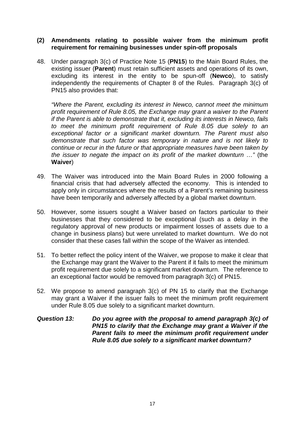#### **(2) Amendments relating to possible waiver from the minimum profit requirement for remaining businesses under spin-off proposals**

48. Under paragraph 3(c) of Practice Note 15 (**PN15**) to the Main Board Rules, the existing issuer (**Parent**) must retain sufficient assets and operations of its own, excluding its interest in the entity to be spun-off (**Newco**), to satisfy independently the requirements of Chapter 8 of the Rules. Paragraph 3(c) of PN15 also provides that:

*"Where the Parent, excluding its interest in Newco, cannot meet the minimum profit requirement of Rule 8.05, the Exchange may grant a waiver to the Parent if the Parent is able to demonstrate that it, excluding its interests in Newco, fails to meet the minimum profit requirement of Rule 8.05 due solely to an exceptional factor or a significant market downturn. The Parent must also demonstrate that such factor was temporary in nature and is not likely to continue or recur in the future or that appropriate measures have been taken by the issuer to negate the impact on its profit of the market downturn …"* (the **Waiver**)

- 49. The Waiver was introduced into the Main Board Rules in 2000 following a financial crisis that had adversely affected the economy. This is intended to apply only in circumstances where the results of a Parent's remaining business have been temporarily and adversely affected by a global market downturn.
- 50. However, some issuers sought a Waiver based on factors particular to their businesses that they considered to be exceptional (such as a delay in the regulatory approval of new products or impairment losses of assets due to a change in business plans) but were unrelated to market downturn. We do not consider that these cases fall within the scope of the Waiver as intended.
- 51. To better reflect the policy intent of the Waiver, we propose to make it clear that the Exchange may grant the Waiver to the Parent if it fails to meet the minimum profit requirement due solely to a significant market downturn. The reference to an exceptional factor would be removed from paragraph 3(c) of PN15.
- 52. We propose to amend paragraph 3(c) of PN 15 to clarify that the Exchange may grant a Waiver if the issuer fails to meet the minimum profit requirement under Rule 8.05 due solely to a significant market downturn.

*Question 13: Do you agree with the proposal to amend paragraph 3(c) of PN15 to clarify that the Exchange may grant a Waiver if the Parent fails to meet the minimum profit requirement under Rule 8.05 due solely to a significant market downturn?*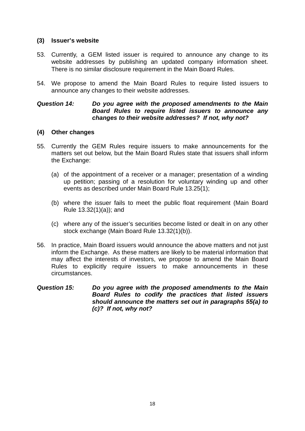#### **(3) Issuer's website**

- 53. Currently, a GEM listed issuer is required to announce any change to its website addresses by publishing an updated company information sheet. There is no similar disclosure requirement in the Main Board Rules.
- 54. We propose to amend the Main Board Rules to require listed issuers to announce any changes to their website addresses.

#### *Question 14: Do you agree with the proposed amendments to the Main Board Rules to require listed issuers to announce any changes to their website addresses? If not, why not?*

#### **(4) Other changes**

- 55. Currently the GEM Rules require issuers to make announcements for the matters set out below, but the Main Board Rules state that issuers shall inform the Exchange:
	- (a) of the appointment of a receiver or a manager; presentation of a winding up petition; passing of a resolution for voluntary winding up and other events as described under Main Board Rule 13.25(1);
	- (b) where the issuer fails to meet the public float requirement (Main Board Rule 13.32(1)(a)); and
	- (c) where any of the issuer's securities become listed or dealt in on any other stock exchange (Main Board Rule 13.32(1)(b)).
- 56. In practice, Main Board issuers would announce the above matters and not just inform the Exchange. As these matters are likely to be material information that may affect the interests of investors, we propose to amend the Main Board Rules to explicitly require issuers to make announcements in these circumstances.
- *Question 15: Do you agree with the proposed amendments to the Main Board Rules to codify the practices that listed issuers should announce the matters set out in paragraphs 55(a) to (c)? If not, why not?*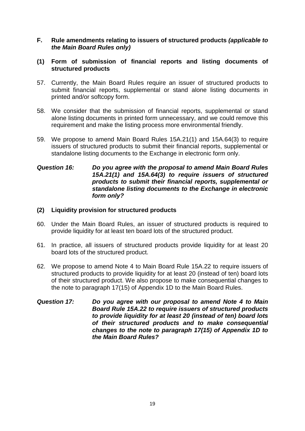#### **F. Rule amendments relating to issuers of structured products** *(applicable to the Main Board Rules only)*

#### **(1) Form of submission of financial reports and listing documents of structured products**

- 57. Currently, the Main Board Rules require an issuer of structured products to submit financial reports, supplemental or stand alone listing documents in printed and/or softcopy form.
- 58. We consider that the submission of financial reports, supplemental or stand alone listing documents in printed form unnecessary, and we could remove this requirement and make the listing process more environmental friendly.
- 59. We propose to amend Main Board Rules 15A.21(1) and 15A.64(3) to require issuers of structured products to submit their financial reports, supplemental or standalone listing documents to the Exchange in electronic form only.

#### *Question 16: Do you agree with the proposal to amend Main Board Rules 15A.21(1) and 15A.64(3) to require issuers of structured products to submit their financial reports, supplemental or standalone listing documents to the Exchange in electronic form only?*

#### **(2) Liquidity provision for structured products**

- 60. Under the Main Board Rules, an issuer of structured products is required to provide liquidity for at least ten board lots of the structured product.
- 61. In practice, all issuers of structured products provide liquidity for at least 20 board lots of the structured product.
- 62. We propose to amend Note 4 to Main Board Rule 15A.22 to require issuers of structured products to provide liquidity for at least 20 (instead of ten) board lots of their structured product. We also propose to make consequential changes to the note to paragraph 17(15) of Appendix 1D to the Main Board Rules.

#### *Question 17: Do you agree with our proposal to amend Note 4 to Main Board Rule 15A.22 to require issuers of structured products to provide liquidity for at least 20 (instead of ten) board lots of their structured products and to make consequential changes to the note to paragraph 17(15) of Appendix 1D to the Main Board Rules?*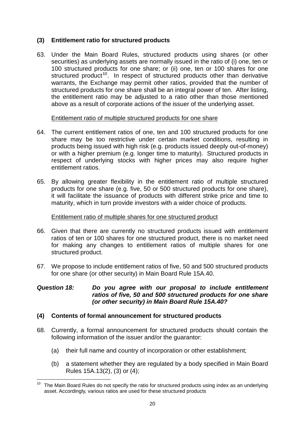## **(3) Entitlement ratio for structured products**

63. Under the Main Board Rules, structured products using shares (or other securities) as underlying assets are normally issued in the ratio of (i) one, ten or 100 structured products for one share; or (ii) one, ten or 100 shares for one structured product<sup>[10](#page-22-0)</sup>. In respect of structured products other than derivative warrants, the Exchange may permit other ratios, provided that the number of structured products for one share shall be an integral power of ten. After listing, the entitlement ratio may be adjusted to a ratio other than those mentioned above as a result of corporate actions of the issuer of the underlying asset.

#### Entitlement ratio of multiple structured products for one share

- 64. The current entitlement ratios of one, ten and 100 structured products for one share may be too restrictive under certain market conditions, resulting in products being issued with high risk (e.g. products issued deeply out-of-money) or with a higher premium (e.g. longer time to maturity). Structured products in respect of underlying stocks with higher prices may also require higher entitlement ratios.
- 65. By allowing greater flexibility in the entitlement ratio of multiple structured products for one share (e.g. five, 50 or 500 structured products for one share), it will facilitate the issuance of products with different strike price and time to maturity, which in turn provide investors with a wider choice of products.

#### Entitlement ratio of multiple shares for one structured product

- 66. Given that there are currently no structured products issued with entitlement ratios of ten or 100 shares for one structured product, there is no market need for making any changes to entitlement ratios of multiple shares for one structured product.
- 67. We propose to include entitlement ratios of five, 50 and 500 structured products for one share (or other security) in Main Board Rule 15A.40.

#### *Question 18: Do you agree with our proposal to include entitlement ratios of five, 50 and 500 structured products for one share (or other security) in Main Board Rule 15A.40?*

#### **(4) Contents of formal announcement for structured products**

- 68. Currently, a formal announcement for structured products should contain the following information of the issuer and/or the guarantor:
	- (a) their full name and country of incorporation or other establishment;
	- (b) a statement whether they are regulated by a body specified in Main Board Rules 15A.13(2), (3) or (4);

<span id="page-22-0"></span>The Main Board Rules do not specify the ratio for structured products using index as an underlying asset. Accordingly, various ratios are used for these structured products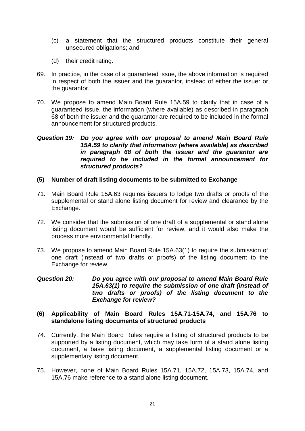- (c) a statement that the structured products constitute their general unsecured obligations; and
- (d) their credit rating.
- 69. In practice, in the case of a guaranteed issue, the above information is required in respect of both the issuer and the guarantor, instead of either the issuer or the guarantor.
- 70. We propose to amend Main Board Rule 15A.59 to clarify that in case of a guaranteed issue, the information (where available) as described in paragraph 68 of both the issuer and the guarantor are required to be included in the formal announcement for structured products.

#### *Question 19: Do you agree with our proposal to amend Main Board Rule 15A.59 to clarify that information (where available) as described in paragraph 68 of both the issuer and the guarantor are required to be included in the formal announcement for structured products?*

### **(5) Number of draft listing documents to be submitted to Exchange**

- 71. Main Board Rule 15A.63 requires issuers to lodge two drafts or proofs of the supplemental or stand alone listing document for review and clearance by the Exchange.
- 72. We consider that the submission of one draft of a supplemental or stand alone listing document would be sufficient for review, and it would also make the process more environmental friendly.
- 73. We propose to amend Main Board Rule 15A.63(1) to require the submission of one draft (instead of two drafts or proofs) of the listing document to the Exchange for review.
- *Question 20: Do you agree with our proposal to amend Main Board Rule 15A.63(1) to require the submission of one draft (instead of two drafts or proofs) of the listing document to the Exchange for review?*

#### **(6) Applicability of Main Board Rules 15A.71-15A.74, and 15A.76 to standalone listing documents of structured products**

- 74. Currently, the Main Board Rules require a listing of structured products to be supported by a listing document, which may take form of a stand alone listing document, a base listing document, a supplemental listing document or a supplementary listing document.
- 75. However, none of Main Board Rules 15A.71, 15A.72, 15A.73, 15A.74, and 15A.76 make reference to a stand alone listing document.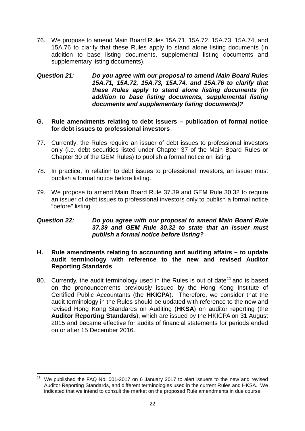76. We propose to amend Main Board Rules 15A.71, 15A.72, 15A.73, 15A.74, and 15A.76 to clarify that these Rules apply to stand alone listing documents (in addition to base listing documents, supplemental listing documents and supplementary listing documents).

#### *Question 21: Do you agree with our proposal to amend Main Board Rules 15A.71, 15A.72, 15A.73, 15A.74, and 15A.76 to clarify that these Rules apply to stand alone listing documents (in addition to base listing documents, supplemental listing documents and supplementary listing documents)?*

#### **G. Rule amendments relating to debt issuers – publication of formal notice for debt issues to professional investors**

- 77. Currently, the Rules require an issuer of debt issues to professional investors only (i.e. debt securities listed under Chapter 37 of the Main Board Rules or Chapter 30 of the GEM Rules) to publish a formal notice on listing.
- 78. In practice, in relation to debt issues to professional investors, an issuer must publish a formal notice before listing.
- 79. We propose to amend Main Board Rule 37.39 and GEM Rule 30.32 to require an issuer of debt issues to professional investors only to publish a formal notice "before" listing.

#### *Question 22: Do you agree with our proposal to amend Main Board Rule 37.39 and GEM Rule 30.32 to state that an issuer must publish a formal notice before listing?*

#### **H. Rule amendments relating to accounting and auditing affairs – to update audit terminology with reference to the new and revised Auditor Reporting Standards**

80. Currently, the audit terminology used in the Rules is out of date<sup>[11](#page-24-0)</sup> and is based on the pronouncements previously issued by the Hong Kong Institute of Certified Public Accountants (the **HKICPA**). Therefore, we consider that the audit terminology in the Rules should be updated with reference to the new and revised Hong Kong Standards on Auditing (**HKSA**) on auditor reporting (the **Auditor Reporting Standards**), which are issued by the HKICPA on 31 August 2015 and became effective for audits of financial statements for periods ended on or after 15 December 2016.

<span id="page-24-0"></span>We published the FAQ No. 001-2017 on 6 January 2017 to alert issuers to the new and revised Auditor Reporting Standards, and different terminologies used in the current Rules and HKSA. We indicated that we intend to consult the market on the proposed Rule amendments in due course.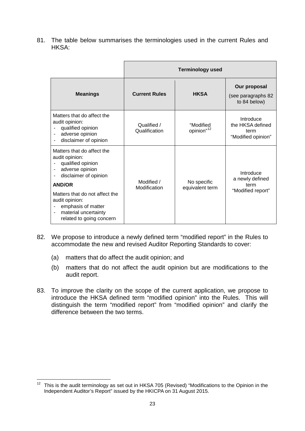81. The table below summarises the terminologies used in the current Rules and HKSA:

|                                                                                                                                                                                        | <b>Terminology used</b>      |                                     |                                                             |  |
|----------------------------------------------------------------------------------------------------------------------------------------------------------------------------------------|------------------------------|-------------------------------------|-------------------------------------------------------------|--|
| <b>Meanings</b>                                                                                                                                                                        | <b>Current Rules</b>         | <b>HKSA</b>                         | Our proposal<br>(see paragraphs 82)<br>to 84 below)         |  |
| Matters that do affect the<br>audit opinion:<br>qualified opinion<br>adverse opinion<br>$\overline{\phantom{a}}$<br>disclaimer of opinion<br>$\overline{\phantom{a}}$                  | Qualified /<br>Qualification | "Modified<br>opinion" <sup>12</sup> | Introduce<br>the HKSA defined<br>term<br>"Modified opinion" |  |
| Matters that do affect the<br>audit opinion:<br>qualified opinion<br>adverse opinion<br>$\overline{\phantom{a}}$<br>disclaimer of opinion<br>$\overline{\phantom{a}}$<br><b>AND/OR</b> | Modified /<br>Modification   | No specific<br>equivalent term      | Introduce<br>a newly defined<br>term                        |  |
| Matters that do not affect the<br>audit opinion:<br>emphasis of matter<br>material uncertainty<br>$\overline{a}$<br>related to going concern                                           |                              |                                     | "Modified report"                                           |  |

- 82. We propose to introduce a newly defined term "modified report" in the Rules to accommodate the new and revised Auditor Reporting Standards to cover:
	- (a) matters that do affect the audit opinion; and
	- (b) matters that do not affect the audit opinion but are modifications to the audit report.
- 83. To improve the clarity on the scope of the current application, we propose to introduce the HKSA defined term "modified opinion" into the Rules. This will distinguish the term "modified report" from "modified opinion" and clarify the difference between the two terms.

<span id="page-25-0"></span><sup>&</sup>lt;sup>12</sup> This is the audit terminology as set out in HKSA 705 (Revised) "Modifications to the Opinion in the Independent Auditor's Report" issued by the HKICPA on 31 August 2015.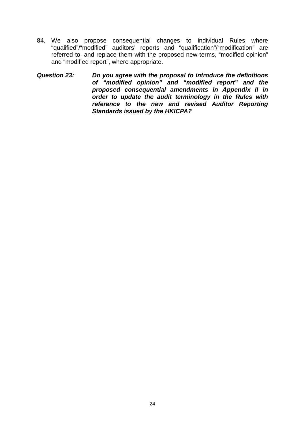- 84. We also propose consequential changes to individual Rules where "qualified"/"modified" auditors' reports and "qualification"/"modification" are referred to, and replace them with the proposed new terms, "modified opinion" and "modified report", where appropriate.
- *Question 23: Do you agree with the proposal to introduce the definitions of "modified opinion" and "modified report" and the proposed consequential amendments in Appendix II in order to update the audit terminology in the Rules with reference to the new and revised Auditor Reporting Standards issued by the HKICPA?*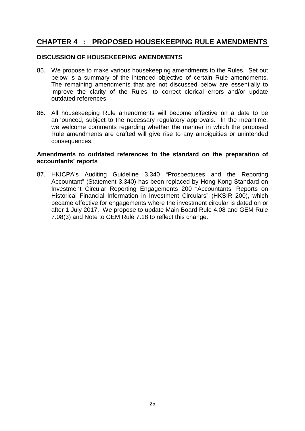## <span id="page-27-0"></span>**CHAPTER 4 : PROPOSED HOUSEKEEPING RULE AMENDMENTS**

#### **DISCUSSION OF HOUSEKEEPING AMENDMENTS**

- 85. We propose to make various housekeeping amendments to the Rules. Set out below is a summary of the intended objective of certain Rule amendments. The remaining amendments that are not discussed below are essentially to improve the clarity of the Rules, to correct clerical errors and/or update outdated references.
- 86. All housekeeping Rule amendments will become effective on a date to be announced, subject to the necessary regulatory approvals. In the meantime, we welcome comments regarding whether the manner in which the proposed Rule amendments are drafted will give rise to any ambiguities or unintended consequences.

#### **Amendments to outdated references to the standard on the preparation of accountants' reports**

87. HKICPA's Auditing Guideline 3.340 "Prospectuses and the Reporting Accountant" (Statement 3.340) has been replaced by Hong Kong Standard on Investment Circular Reporting Engagements 200 "Accountants' Reports on Historical Financial Information in Investment Circulars" (HKSIR 200), which became effective for engagements where the investment circular is dated on or after 1 July 2017. We propose to update Main Board Rule 4.08 and GEM Rule 7.08(3) and Note to GEM Rule 7.18 to reflect this change.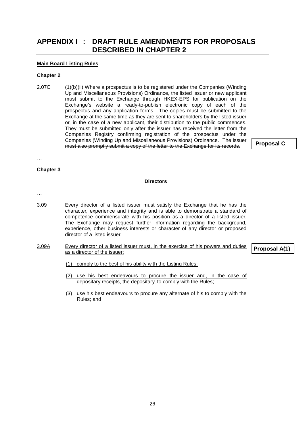## <span id="page-28-0"></span>**APPENDIX I : DRAFT RULE AMENDMENTS FOR PROPOSALS DESCRIBED IN CHAPTER 2**

#### **Main Board Listing Rules**

#### **Chapter 2**

2.07C (1)(b)(ii) Where a prospectus is to be registered under the Companies (Winding Up and Miscellaneous Provisions) Ordinance, the listed issuer or new applicant must submit to the Exchange through HKEX-EPS for publication on the Exchange's website a ready-to-publish electronic copy of each of the prospectus and any application forms. The copies must be submitted to the Exchange at the same time as they are sent to shareholders by the listed issuer or, in the case of a new applicant, their distribution to the public commences. They must be submitted only after the issuer has received the letter from the Companies Registry confirming registration of the prospectus under the Companies (Winding Up and Miscellaneous Provisions) Ordinance. The issuer must also promptly submit a copy of the letter to the Exchange for its records.

**Proposal C**

…

#### **Chapter 3**

#### **Directors**

…

- 3.09 Every director of a listed issuer must satisfy the Exchange that he has the character, experience and integrity and is able to demonstrate a standard of competence commensurate with his position as a director of a listed issuer. The Exchange may request further information regarding the background, experience, other business interests or character of any director or proposed director of a listed issuer.
- 3.09A Every director of a listed issuer must, in the exercise of his powers and duties as a director of the issuer: **Proposal A(1)**
	- (1) comply to the best of his ability with the Listing Rules;
	- (2) use his best endeavours to procure the issuer and, in the case of depositary receipts, the depositary, to comply with the Rules;
	- (3) use his best endeavours to procure any alternate of his to comply with the Rules; and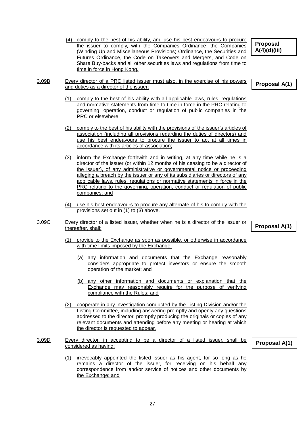- (4) comply to the best of his ability, and use his best endeavours to procure the issuer to comply, with the Companies Ordinance, the Companies (Winding Up and Miscellaneous Provisions) Ordinance, the Securities and Futures Ordinance, the Code on Takeovers and Mergers, and Code on Share Buy-backs and all other securities laws and regulations from time to time in force in Hong Kong.
- 3.09B Every director of a PRC listed issuer must also, in the exercise of his powers and duties as a director of the issuer:
	- (1) comply to the best of his ability with all applicable laws, rules, regulations and normative statements from time to time in force in the PRC relating to governing, operation, conduct or regulation of public companies in the PRC or elsewhere;
	- (2) comply to the best of his ability with the provisions of the issuer's articles of association (including all provisions regarding the duties of directors) and use his best endeavours to procure the issuer to act at all times in accordance with its articles of association;
	- (3) inform the Exchange forthwith and in writing, at any time while he is a director of the issuer (or within 12 months of his ceasing to be a director of the issuer), of any administrative or governmental notice or proceeding alleging a breach by the issuer or any of its subsidiaries or directors of any applicable laws, rules, regulations or normative statements in force in the PRC relating to the governing, operation, conduct or regulation of public companies; and
	- (4) use his best endeavours to procure any alternate of his to comply with the provisions set out in (1) to (3) above.
- 3.09C Every director of a listed issuer, whether when he is a director of the issuer or thereafter, shall:
	- (1) provide to the Exchange as soon as possible, or otherwise in accordance with time limits imposed by the Exchange:
		- (a) any information and documents that the Exchange reasonably considers appropriate to protect investors or ensure the smooth operation of the market; and
		- (b) any other information and documents or explanation that the Exchange may reasonably require for the purpose of verifying compliance with the Rules; and
	- (2) cooperate in any investigation conducted by the Listing Division and/or the Listing Committee, including answering promptly and openly any questions addressed to the director, promptly producing the originals or copies of any relevant documents and attending before any meeting or hearing at which the director is requested to appear.
- 3.09D Every director, in accepting to be a director of a listed issuer, shall be considered as having:
	- (1) irrevocably appointed the listed issuer as his agent, for so long as he remains a director of the issuer, for receiving on his behalf any correspondence from and/or service of notices and other documents by the Exchange; and

**Proposal A(4)(d)(iii)**

**Proposal A(1)**

**Proposal A(1)**

**Proposal A(1)**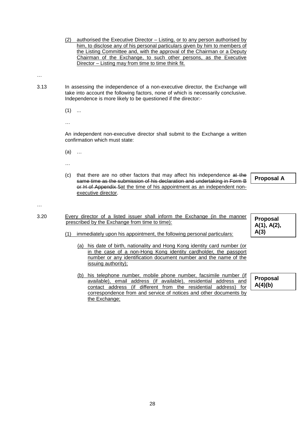- (2) authorised the Executive Director Listing, or to any person authorised by him, to disclose any of his personal particulars given by him to members of the Listing Committee and, with the approval of the Chairman or a Deputy Chairman of the Exchange, to such other persons, as the Executive Director – Listing may from time to time think fit.
- …
- 3.13 In assessing the independence of a non-executive director, the Exchange will take into account the following factors, none of which is necessarily conclusive. Independence is more likely to be questioned if the director:-
	- $(1)$  ...
	- …

An independent non-executive director shall submit to the Exchange a written confirmation which must state:

(a) …

…

(c) that there are no other factors that may affect his independence at the same time as the submission of his declaration and undertaking in Form B or H of Appendix 5at the time of his appointment as an independent nonexecutive director.

**Proposal A**

…

- 3.20 Every director of a listed issuer shall inform the Exchange (in the manner prescribed by the Exchange from time to time):
	- (1) immediately upon his appointment, the following personal particulars:
		- (a) his date of birth, nationality and Hong Kong identity card number (or in the case of a non-Hong Kong identity cardholder, the passport number or any identification document number and the name of the issuing authority);
		- (b) his telephone number, mobile phone number, facsimile number (if available), email address (if available), residential address and contact address (if different from the residential address) for correspondence from and service of notices and other documents by the Exchange;

**Proposal A(1), A(2), A(3)**

**Proposal A(4)(b)**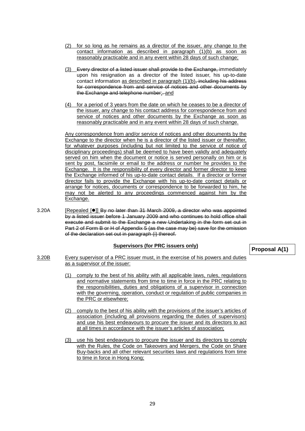- (2) for so long as he remains as a director of the issuer, any change to the contact information as described in paragraph (1)(b) as soon as reasonably practicable and in any event within 28 days of such change;
- (3) Every director of a listed issuer shall provide to the Exchange, immediately upon his resignation as a director of the listed issuer, his up-to-date contact information as described in paragraph (1)(b), including his address for correspondence from and service of notices and other documents by the Exchange and telephone number;-and
- (4) for a period of 3 years from the date on which he ceases to be a director of the issuer, any change to his contact address for correspondence from and service of notices and other documents by the Exchange as soon as reasonably practicable and in any event within 28 days of such change.

Any correspondence from and/or service of notices and other documents by the Exchange to the director when he is a director of the listed issuer or thereafter, for whatever purposes (including but not limited to the service of notice of disciplinary proceedings) shall be deemed to have been validly and adequately served on him when the document or notice is served personally on him or is sent by post, facsimile or email to the address or number he provides to the Exchange. It is the responsibility of every director and former director to keep the Exchange informed of his up-to-date contact details. If a director or former director fails to provide the Exchange with his up-to-date contact details or arrange for notices, documents or correspondence to be forwarded to him, he may not be alerted to any proceedings commenced against him by the Exchange.

3.20A [Repealed [ $\bullet$ ]] By no later than 31 March 2009, a director who was appointed by a listed issuer before 1 January 2009 and who continues to hold office shall execute and submit to the Exchange a new Undertaking in the form set out in Part 2 of Form B or H of Appendix 5 (as the case may be) save for the omission of the declaration set out in paragraph (i) thereof.

#### **Supervisors (for PRC issuers only)**

#### **Proposal A(1)**

- 3.20B Every supervisor of a PRC issuer must, in the exercise of his powers and duties as a supervisor of the issuer:
	- (1) comply to the best of his ability with all applicable laws, rules, regulations and normative statements from time to time in force in the PRC relating to the responsibilities, duties and obligations of a supervisor in connection with the governing, operation, conduct or regulation of public companies in the PRC or elsewhere;
	- (2) comply to the best of his ability with the provisions of the issuer's articles of association (including all provisions regarding the duties of supervisors) and use his best endeavours to procure the issuer and its directors to act at all times in accordance with the issuer's articles of association;
	- (3) use his best endeavours to procure the issuer and its directors to comply with the Rules, the Code on Takeovers and Mergers, the Code on Share Buy-backs and all other relevant securities laws and regulations from time to time in force in Hong Kong;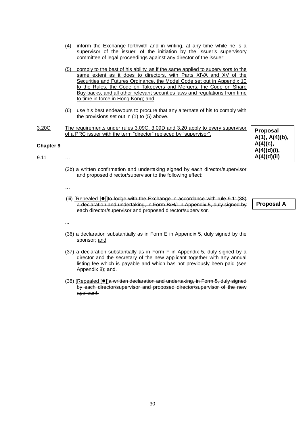- (4) inform the Exchange forthwith and in writing, at any time while he is a supervisor of the issuer, of the initiation by the issuer's supervisory committee of legal proceedings against any director of the issuer;
- (5) comply to the best of his ability, as if the same applied to supervisors to the same extent as it does to directors, with Parts XIVA and XV of the Securities and Futures Ordinance, the Model Code set out in Appendix 10 to the Rules, the Code on Takeovers and Mergers, the Code on Share Buy-backs, and all other relevant securities laws and regulations from time to time in force in Hong Kong; and
- (6) use his best endeavours to procure that any alternate of his to comply with the provisions set out in (1) to (5) above.
- 3.20C The requirements under rules 3.09C, 3.09D and 3.20 apply to every supervisor of a PRC issuer with the term "director" replaced by "supervisor". **Proposal**

**Chapter 9**

9.11 …

- (3b) a written confirmation and undertaking signed by each director/supervisor and proposed director/supervisor to the following effect:
- …

...

- (iii) [Repealed  $[①]$ to lodge with the Exchange in accordance with rule  $9.11(38)$ a declaration and undertaking, in Form B/H/I in Appendix 5, duly signed by each director/supervisor and proposed director/supervisor.
- (36) a declaration substantially as in Form E in Appendix 5, duly signed by the sponsor; and
- (37) a declaration substantially as in Form F in Appendix 5, duly signed by a director and the secretary of the new applicant together with any annual listing fee which is payable and which has not previously been paid (see Appendix 8); and.
- (38) [Repealed [●]]a written declaration and undertaking, in Form 5, duly signed by each director/supervisor and proposed director/supervisor of the new applicant.

**A(1), A(4)(b), A(4)(c), A(4)(d)(i), A(4)(d)(ii)**

**Proposal A**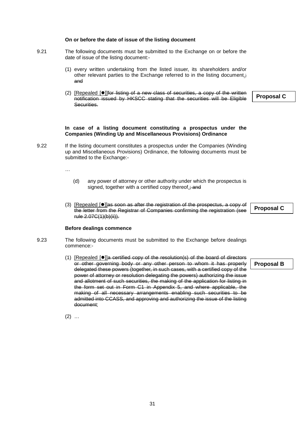#### **On or before the date of issue of the listing document**

- 9.21 The following documents must be submitted to the Exchange on or before the date of issue of the listing document:-
	- (1) every written undertaking from the listed issuer, its shareholders and/or other relevant parties to the Exchange referred to in the listing document.; and
	- (2) [Repealed  $[①]$ ] for listing of a new class of securities, a copy of the written notification issued by HKSCC stating that the securities will be Eligible Securities.

#### **In case of a listing document constituting a prospectus under the Companies (Winding Up and Miscellaneous Provisions) Ordinance**

9.22 If the listing document constitutes a prospectus under the Companies (Winding up and Miscellaneous Provisions) Ordinance, the following documents must be submitted to the Exchange:-

…

- (d) any power of attorney or other authority under which the prospectus is signed, together with a certified copy thereof.; and
- (3) [Repealed  $[0]$ ]as soon as after the registration of the prospectus, a copy of the letter from the Registrar of Companies confirming the registration (see rule 2.07C(1)(b)(ii)).

**Proposal C**

#### **Before dealings commence**

- 9.23 The following documents must be submitted to the Exchange before dealings commence:-
	- (1) [Repealed [ $\bullet$ ]]a certified copy of the resolution(s) of the board of directors or other governing body or any other person to whom it has properly delegated these powers (together, in such cases, with a certified copy of the power of attorney or resolution delegating the powers) authorizing the issue and allotment of such securities, the making of the application for listing in the form set out in Form C1 in Appendix 5, and where applicable, the making of all necessary arrangements enabling such securities to be admitted into CCASS, and approving and authorizing the issue of the listing document;

**Proposal B**

 $(2)$  ...

**Proposal C**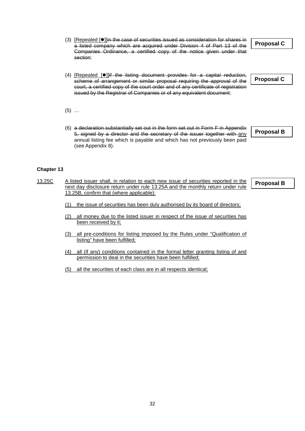(3) [Repealed [ $\bullet$ ]]in the case of securities issued as consideration for shares in a listed company which are acquired under Division 4 of Part 13 of the Companies Ordinance, a certified copy of the notice given under that section;

(4) [Repealed  $[①]$ ]if the listing document provides for a capital reduction, scheme of arrangement or similar proposal requiring the approval of the court, a certified copy of the court order and of any certificate of registration issued by the Registrar of Companies or of any equivalent document;

- (5) …
- (6) a declaration substantially set out in the form set out in Form F in Appendix 5, signed by a director and the secretary of the issuer together with any annual listing fee which is payable and which has not previously been paid (see Appendix 8).

**Proposal B**

#### **Chapter 13**

13.25C A listed issuer shall, in relation to each new issue of securities reported in the next day disclosure return under rule 13.25A and the monthly return under rule 13.25B, confirm that (where applicable):

**Proposal B**

- (1) the issue of securities has been duly authorised by its board of directors;
- (2) all money due to the listed issuer in respect of the issue of securities has been received by it;
- (3) all pre-conditions for listing imposed by the Rules under "Qualification of listing" have been fulfilled;
- (4) all (if any) conditions contained in the formal letter granting listing of and permission to deal in the securities have been fulfilled;
- (5) all the securities of each class are in all respects identical;

**Proposal C**

**Proposal C**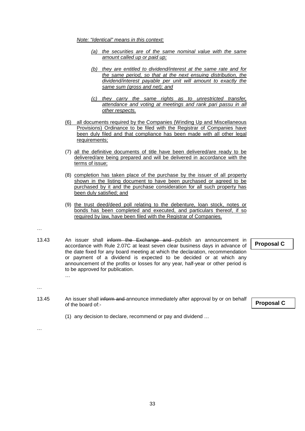*Note: "Identical" means in this context:* 

- *(a) the securities are of the same nominal value with the same amount called up or paid up;*
- *(b) they are entitled to dividend/interest at the same rate and for the same period, so that at the next ensuing distribution, the dividend/interest payable per unit will amount to exactly the same sum (gross and net); and*
- *(c) they carry the same rights as to unrestricted transfer, attendance and voting at meetings and rank pari passu in all other respects.*
- (6) all documents required by the Companies (Winding Up and Miscellaneous Provisions) Ordinance to be filed with the Registrar of Companies have been duly filed and that compliance has been made with all other legal requirements;
- (7) all the definitive documents of title have been delivered/are ready to be delivered/are being prepared and will be delivered in accordance with the terms of issue;
- (8) completion has taken place of the purchase by the issuer of all property shown in the listing document to have been purchased or agreed to be purchased by it and the purchase consideration for all such property has been duly satisfied; and
- (9) the trust deed/deed poll relating to the debenture, loan stock, notes or bonds has been completed and executed, and particulars thereof, if so required by law, have been filed with the Registrar of Companies.

…

13.43 An issuer shall inform the Exchange and publish an announcement in accordance with Rule 2.07C at least seven clear business days in advance of the date fixed for any board meeting at which the declaration, recommendation or payment of a dividend is expected to be decided or at which any announcement of the profits or losses for any year, half-year or other period is to be approved for publication.

**Proposal C**

13.45 An issuer shall inform and announce immediately after approval by or on behalf of the board of:-

**Proposal C**

(1) any decision to declare, recommend or pay and dividend …

…

…

…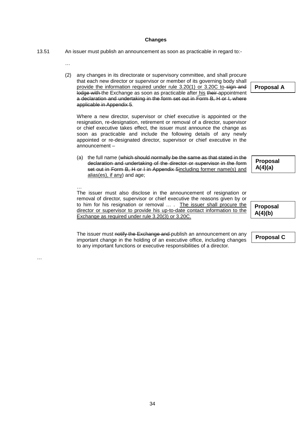#### **Changes**

13.51 An issuer must publish an announcement as soon as practicable in regard to:-

…

…

…

(2) any changes in its directorate or supervisory committee, and shall procure that each new director or supervisor or member of its governing body shall provide the information required under rule 3.20(1) or 3.20C to sign and lodge with the Exchange as soon as practicable after his their appointment a declaration and undertaking in the form set out in Form B, H or I, where applicable in Appendix 5.

Where a new director, supervisor or chief executive is appointed or the resignation, re-designation, retirement or removal of a director, supervisor or chief executive takes effect, the issuer must announce the change as soon as practicable and include the following details of any newly appointed or re-designated director, supervisor or chief executive in the announcement –

(a) the full name (which should normally be the same as that stated in the declaration and undertaking of the director or supervisor in the form set out in Form B, H or I in Appendix 5 including former name(s) and alias(es), if any) and age;

The issuer must also disclose in the announcement of resignation or removal of director, supervisor or chief executive the reasons given by or to him for his resignation or removal … . The issuer shall procure the director or supervisor to provide his up-to-date contact information to the Exchange as required under rule 3.20(3) or 3.20C.

The issuer must notify the Exchange and publish an announcement on any important change in the holding of an executive office, including changes to any important functions or executive responsibilities of a director.

**Proposal A**

**Proposal A(4)(b)**

**Proposal A(4)(a)**

**Proposal C**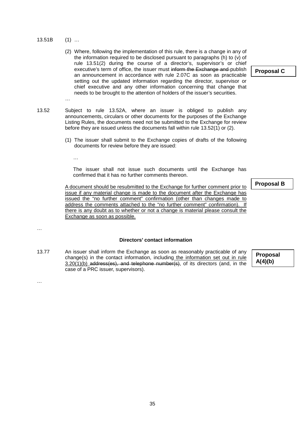- 13.51B (1) …
	- (2) Where, following the implementation of this rule, there is a change in any of the information required to be disclosed pursuant to paragraphs (h) to (v) of rule 13.51(2) during the course of a director's, supervisor's or chief executive's term of office, the issuer must inform the Exchange and publish an announcement in accordance with rule 2.07C as soon as practicable setting out the updated information regarding the director, supervisor or chief executive and any other information concerning that change that needs to be brought to the attention of holders of the issuer's securities.

**Proposal C**

- 13.52 Subject to rule 13.52A, where an issuer is obliged to publish any announcements, circulars or other documents for the purposes of the Exchange Listing Rules, the documents need not be submitted to the Exchange for review before they are issued unless the documents fall within rule 13.52(1) or (2).
	- (1) The issuer shall submit to the Exchange copies of drafts of the following documents for review before they are issued:

…

…

…

…

The issuer shall not issue such documents until the Exchange has confirmed that it has no further comments thereon.

A document should be resubmitted to the Exchange for further comment prior to issue if any material change is made to the document after the Exchange has issued the "no further comment" confirmation (other than changes made to address the comments attached to the "no further comment" confirmation). If there is any doubt as to whether or not a change is material please consult the Exchange as soon as possible.

#### **Directors' contact information**

13.77 An issuer shall inform the Exchange as soon as reasonably practicable of any change(s) in the contact information, including the information set out in rule  $3.20(1)(b)$  address(es), and telephone number(s), of its directors (and, in the case of a PRC issuer, supervisors).

**Proposal B**

# **Proposal A(4)(b)**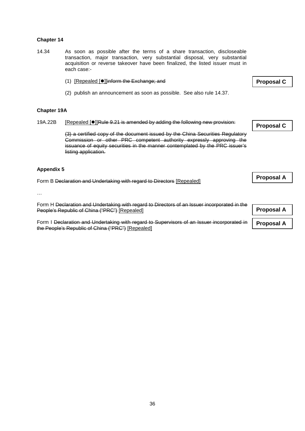# **Chapter 14**

- 14.34 As soon as possible after the terms of a share transaction, discloseable transaction, major transaction, very substantial disposal, very substantial acquisition or reverse takeover have been finalized, the listed issuer must in each case:-
	- (1) [Repealed [<sup>•</sup>]]inform the Exchange; and
	- (2) publish an announcement as soon as possible. See also rule 14.37.

# **Chapter 19A**

19A.22B [Repealed  $\bullet$ ]Rule 9.21 is amended by adding the following new provision:

(3) a certified copy of the document issued by the China Securities Regulatory Commission or other PRC competent authority expressly approving the issuance of equity securities in the manner contemplated by the PRC issuer's listing application.

#### **Appendix 5**

Form B Declaration and Undertaking with regard to Directors [Repealed]

…

Form H Declaration and Undertaking with regard to Directors of an Issuer incorporated in the People's Republic of China ("PRC") [Repealed]

Form I Declaration and Undertaking with regard to Supervisors of an Issuer incorporated in the People's Republic of China ("PRC") [Repealed]

**Proposal C**

**Proposal C**

**Proposal A**

| <b>Proposal A</b> |  |
|-------------------|--|
|-------------------|--|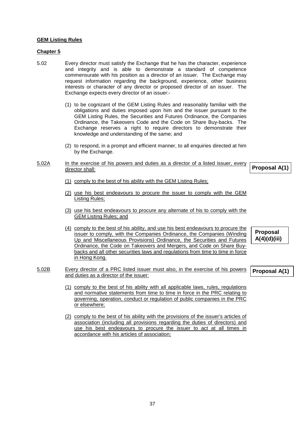# **GEM Listing Rules**

#### **Chapter 5**

- 5.02 Every director must satisfy the Exchange that he has the character, experience and integrity and is able to demonstrate a standard of competence commensurate with his position as a director of an issuer. The Exchange may request information regarding the background, experience, other business interests or character of any director or proposed director of an issuer. The Exchange expects every director of an issuer:-
	- (1) to be cognizant of the GEM Listing Rules and reasonably familiar with the obligations and duties imposed upon him and the issuer pursuant to the GEM Listing Rules, the Securities and Futures Ordinance, the Companies Ordinance, the Takeovers Code and the Code on Share Buy-backs. The Exchange reserves a right to require directors to demonstrate their knowledge and understanding of the same; and
	- (2) to respond, in a prompt and efficient manner, to all enquiries directed at him by the Exchange.
- 5.02A In the exercise of his powers and duties as a director of a listed issuer, every director shall:

**Proposal A(1)**

**Proposal A(4)(d)(iii)**

**Proposal A(1)**

- (1) comply to the best of his ability with the GEM Listing Rules;
- (2) use his best endeavours to procure the issuer to comply with the GEM Listing Rules;
- (3) use his best endeavours to procure any alternate of his to comply with the GEM Listing Rules; and
- (4) comply to the best of his ability, and use his best endeavours to procure the issuer to comply, with the Companies Ordinance, the Companies (Winding Up and Miscellaneous Provisions) Ordinance, the Securities and Futures Ordinance, the Code on Takeovers and Mergers, and Code on Share Buybacks and all other securities laws and regulations from time to time in force in Hong Kong.
- 5.02B Every director of a PRC listed issuer must also, in the exercise of his powers and duties as a director of the issuer:
	- (1) comply to the best of his ability with all applicable laws, rules, regulations and normative statements from time to time in force in the PRC relating to governing, operation, conduct or regulation of public companies in the PRC or elsewhere;
	- (2) comply to the best of his ability with the provisions of the issuer's articles of association (including all provisions regarding the duties of directors) and use his best endeavours to procure the issuer to act at all times in accordance with his articles of association;

37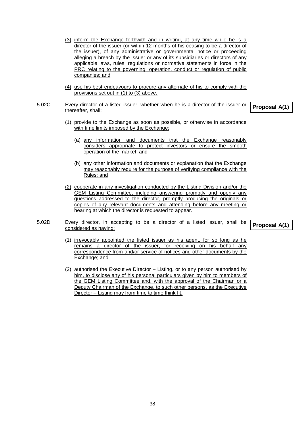- (3) inform the Exchange forthwith and in writing, at any time while he is a director of the issuer (or within 12 months of his ceasing to be a director of the issuer), of any administrative or governmental notice or proceeding alleging a breach by the issuer or any of its subsidiaries or directors of any applicable laws, rules, regulations or normative statements in force in the PRC relating to the governing, operation, conduct or regulation of public companies; and
- (4) use his best endeavours to procure any alternate of his to comply with the provisions set out in (1) to (3) above.
- 5.02C Every director of a listed issuer, whether when he is a director of the issuer or thereafter, shall: **Proposal A(1)**
	- (1) provide to the Exchange as soon as possible, or otherwise in accordance with time limits imposed by the Exchange:
		- (a) any information and documents that the Exchange reasonably considers appropriate to protect investors or ensure the smooth operation of the market; and
		- (b) any other information and documents or explanation that the Exchange may reasonably require for the purpose of verifying compliance with the Rules; and
	- (2) cooperate in any investigation conducted by the Listing Division and/or the GEM Listing Committee, including answering promptly and openly any questions addressed to the director, promptly producing the originals or copies of any relevant documents and attending before any meeting or hearing at which the director is requested to appear.
- 5.02D Every director, in accepting to be a director of a listed issuer, shall be considered as having:

…

- (1) irrevocably appointed the listed issuer as his agent, for so long as he remains a director of the issuer, for receiving on his behalf any correspondence from and/or service of notices and other documents by the Exchange; and
- (2) authorised the Executive Director Listing, or to any person authorised by him, to disclose any of his personal particulars given by him to members of the GEM Listing Committee and, with the approval of the Chairman or a Deputy Chairman of the Exchange, to such other persons, as the Executive Director – Listing may from time to time think fit.

**Proposal A(1)**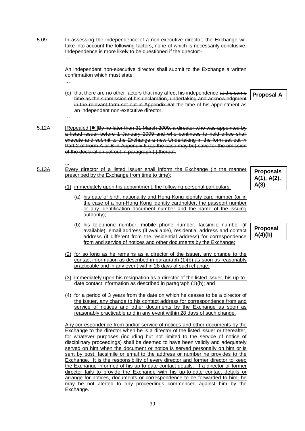5.09 In assessing the independence of a non-executive director, the Exchange will take into account the following factors, none of which is necessarily conclusive. Independence is more likely to be questioned if the director:- …

…

…

...

An independent non-executive director shall submit to the Exchange a written confirmation which must state:

- (c) that there are no other factors that may affect his independence at the same time as the submission of his declaration, undertaking and acknowledgment in the relevant form set out in Appendix 6at the time of his appointment as an independent non-executive director.
- 5.12A [Repealed  $[①]$ ]By no later than 31 March 2009, a director who was appointed by a listed issuer before 1 January 2009 and who continues to hold office shall execute and submit to the Exchange a new Undertaking in the form set out in Part 2 of Form A or B in Appendix 6 (as the case may be) save for the omission of the declaration set out in paragraph (i) thereof.
- 5.13A Every director of a listed issuer shall inform the Exchange (in the manner prescribed by the Exchange from time to time):
	- (1) immediately upon his appointment, the following personal particulars:
		- (a) his date of birth, nationality and Hong Kong identity card number (or in the case of a non-Hong Kong identity cardholder, the passport number or any identification document number and the name of the issuing authority);
		- (b) his telephone number, mobile phone number, facsimile number (if available), email address (if available), residential address and contact address (if different from the residential address) for correspondence from and service of notices and other documents by the Exchange;
	- (2) for so long as he remains as a director of the issuer, any change to the contact information as described in paragraph (1)(b) as soon as reasonably practicable and in any event within 28 days of such change;
	- (3) immediately upon his resignation as a director of the listed issuer, his up-todate contact information as described in paragraph (1)(b); and
	- (4) for a period of 3 years from the date on which he ceases to be a director of the issuer, any change to his contact address for correspondence from and service of notices and other documents by the Exchange as soon as reasonably practicable and in any event within 28 days of such change.

Any correspondence from and/or service of notices and other documents by the Exchange to the director when he is a director of the listed issuer or thereafter, for whatever purposes (including but not limited to the service of notice of disciplinary proceedings) shall be deemed to have been validly and adequately served on him when the document or notice is served personally on him or is sent by post, facsimile or email to the address or number he provides to the Exchange. It is the responsibility of every director and former director to keep the Exchange informed of his up-to-date contact details. If a director or former director fails to provide the Exchange with his up-to-date contact details or arrange for notices, documents or correspondence to be forwarded to him, he may be not alerted to any proceedings commenced against him by the Exchange.

**Proposal A**

**Proposals A(1), A(2), A(3)**

**Proposal A(4)(b)**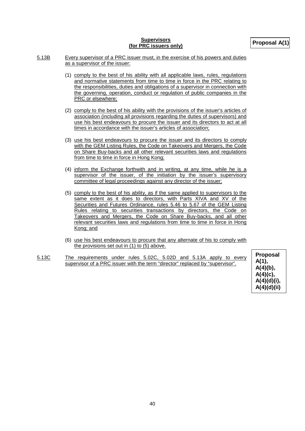# **Supervisors (for PRC issuers only)**

- 5.13B Every supervisor of a PRC issuer must, in the exercise of his powers and duties as a supervisor of the issuer:
	- (1) comply to the best of his ability with all applicable laws, rules, regulations and normative statements from time to time in force in the PRC relating to the responsibilities, duties and obligations of a supervisor in connection with the governing, operation, conduct or regulation of public companies in the PRC or elsewhere;
	- (2) comply to the best of his ability with the provisions of the issuer's articles of association (including all provisions regarding the duties of supervisors) and use his best endeavours to procure the issuer and its directors to act at all times in accordance with the issuer's articles of association;
	- (3) use his best endeavours to procure the issuer and its directors to comply with the GEM Listing Rules, the Code on Takeovers and Mergers, the Code on Share Buy-backs and all other relevant securities laws and regulations from time to time in force in Hong Kong;
	- (4) inform the Exchange forthwith and in writing, at any time, while he is a supervisor of the issuer, of the initiation by the issuer's supervisory committee of legal proceedings against any director of the issuer;
	- (5) comply to the best of his ability, as if the same applied to supervisors to the same extent as it does to directors, with Parts XIVA and XV of the Securities and Futures Ordinance, rules 5.46 to 5.67 of the GEM Listing Rules relating to securities transactions by directors, the Code on Takeovers and Mergers, the Code on Share Buy-backs, and all other relevant securities laws and regulations from time to time in force in Hong Kong; and
	- (6) use his best endeavours to procure that any alternate of his to comply with the provisions set out in (1) to (5) above.
- 5.13C The requirements under rules 5.02C, 5.02D and 5.13A apply to every supervisor of a PRC issuer with the term "director" replaced by "supervisor".

**Proposal A(1), A(4)(b), A(4)(c), A(4)(d)(i), A(4)(d)(ii)**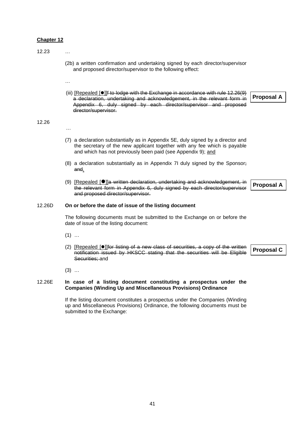# **Chapter 12**

| 12.23  |                                                                                                                                                                                                                                                                                           |  |
|--------|-------------------------------------------------------------------------------------------------------------------------------------------------------------------------------------------------------------------------------------------------------------------------------------------|--|
|        | (2b) a written confirmation and undertaking signed by each director/supervisor<br>and proposed director/supervisor to the following effect:                                                                                                                                               |  |
|        |                                                                                                                                                                                                                                                                                           |  |
|        | (iii) [Repealed [●]] <del>f to lodge with the Exchange in accordance with rule 12.26(9)</del><br><b>Proposal A</b><br>a declaration, undertaking and acknowledgement, in the relevant form in<br>Appendix 6, duly signed by each director/supervisor and proposed<br>director/supervisor. |  |
| 12.26  |                                                                                                                                                                                                                                                                                           |  |
|        |                                                                                                                                                                                                                                                                                           |  |
|        | (7) a declaration substantially as in Appendix 5E, duly signed by a director and<br>the secretary of the new applicant together with any fee which is payable<br>and which has not previously been paid (see Appendix 9); and                                                             |  |
|        | (8) a declaration substantially as in Appendix 7I duly signed by the Sponsor;<br>and.                                                                                                                                                                                                     |  |
|        | (9) [Repealed [●]]a written declaration, undertaking and acknowledgement, in<br><b>Proposal A</b><br>the relevant form in Appendix 6, duly signed by each director/supervisor<br>and proposed director/supervisor.                                                                        |  |
| 12.26D | On or before the date of issue of the listing document                                                                                                                                                                                                                                    |  |
|        | The following documents must be submitted to the Exchange on or before the<br>date of issue of the listing document:                                                                                                                                                                      |  |
|        | $(1)$                                                                                                                                                                                                                                                                                     |  |
|        | (2) [Repealed [●]]for listing of a new class of securities, a copy of the written<br><b>Proposal C</b><br>notification issued by HKSCC stating that the securities will be Eligible<br>Securities; and                                                                                    |  |
|        | $(3)$                                                                                                                                                                                                                                                                                     |  |
| 12.26E | In case of a listing document constituting a prospectus under the<br><b>Companies (Winding Up and Miscellaneous Provisions) Ordinance</b>                                                                                                                                                 |  |

If the listing document constitutes a prospectus under the Companies (Winding up and Miscellaneous Provisions) Ordinance, the following documents must be submitted to the Exchange: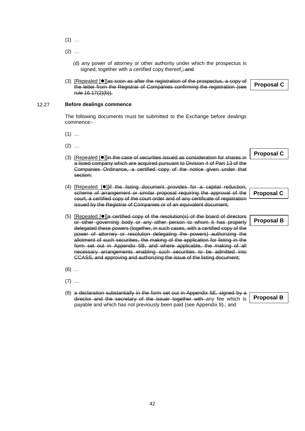- $(1)$  ...
- $(2)$  ...
	- (d) any power of attorney or other authority under which the prospectus is signed, together with a certified copy thereof.; and
- (3) [Repealed [ $\bullet$ ]]as soon as after the registration of the prospectus, a copy of the letter from the Registrar of Companies confirming the registration (see rule 16.17(2)(b)). **Proposal C**

#### 12.27 **Before dealings commence**

The following documents must be submitted to the Exchange before dealings commence:-

 $(1)$  ...

 $(2)$  ...

- (3) [Repealed [ $\bullet$ ]]in the case of securities issued as consideration for shares in a listed company which are acquired pursuant to Division 4 of Part 13 of the Companies Ordinance, a certified copy of the notice given under that section; **Proposal C**
- (4)  $[Repeated ]$ ]if the listing document provides for a capital reduction, scheme of arrangement or similar proposal requiring the approval of the court, a certified copy of the court order and of any certificate of registration issued by the Registrar of Companies or of an equivalent document; **Proposal C**
- (5) [Repealed  $[0]$ ]a certified copy of the resolution(s) of the board of directors or other governing body or any other person to whom it has properly delegated these powers (together, in such cases, with a certified copy of the power of attorney or resolution delegating the powers) authorizing the allotment of such securities, the making of the application for listing in the form set out in Appendix 5B, and where applicable, the making of all necessary arrangements enabling such securities to be admitted into CCASS, and approving and authorizing the issue of the listing document;
- $(6)$  ...
- $(7)$  ...
- (8) a declaration substantially in the form set out in Appendix 5E, signed by a director and the secretary of the issuer together with any fee which is payable and which has not previously been paid (see Appendix 9)-; and

**Proposal B**

**Proposal B**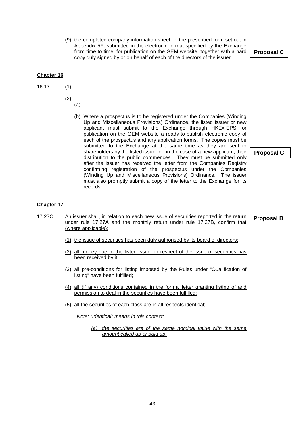(9) the completed company information sheet, in the prescribed form set out in Appendix 5F, submitted in the electronic format specified by the Exchange from time to time, for publication on the GEM website, together with a hard copy duly signed by or on behalf of each of the directors of the issuer.

**Proposal C**

# **Chapter 16**

$$
16.17 \qquad (1) \ldots
$$

- (2) (a) …
	- (b) Where a prospectus is to be registered under the Companies (Winding Up and Miscellaneous Provisions) Ordinance, the listed issuer or new applicant must submit to the Exchange through HKEx-EPS for publication on the GEM website a ready-to-publish electronic copy of each of the prospectus and any application forms. The copies must be submitted to the Exchange at the same time as they are sent to shareholders by the listed issuer or, in the case of a new applicant, their distribution to the public commences. They must be submitted only after the issuer has received the letter from the Companies Registry confirming registration of the prospectus under the Companies (Winding Up and Miscellaneous Provisions) Ordinance. The issuer must also promptly submit a copy of the letter to the Exchange for its records.

**Proposal C**

**Proposal B**

#### **Chapter 17**

- 17.27C An issuer shall, in relation to each new issue of securities reported in the return under rule 17.27A and the monthly return under rule 17.27B, confirm that (where applicable):
	- (1) the issue of securities has been duly authorised by its board of directors;
	- (2) all money due to the listed issuer in respect of the issue of securities has been received by it;
	- (3) all pre-conditions for listing imposed by the Rules under "Qualification of listing" have been fulfilled;
	- (4) all (if any) conditions contained in the formal letter granting listing of and permission to deal in the securities have been fulfilled;
	- (5) all the securities of each class are in all respects identical;

*Note: "Identical" means in this context:* 

*(a) the securities are of the same nominal value with the same amount called up or paid up;*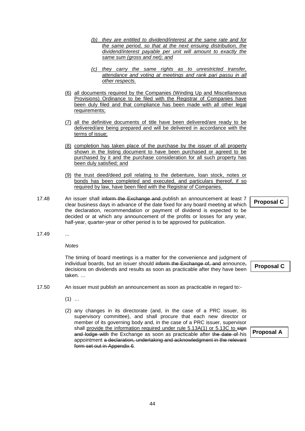- *(b) they are entitled to dividend/interest at the same rate and for the same period, so that at the next ensuing distribution, the dividend/interest payable per unit will amount to exactly the same sum (gross and net); and*
- *(c) they carry the same rights as to unrestricted transfer, attendance and voting at meetings and rank pari passu in all other respects.*
- (6) all documents required by the Companies (Winding Up and Miscellaneous Provisions) Ordinance to be filed with the Registrar of Companies have been duly filed and that compliance has been made with all other legal requirements;
- (7) all the definitive documents of title have been delivered/are ready to be delivered/are being prepared and will be delivered in accordance with the terms of issue;
- (8) completion has taken place of the purchase by the issuer of all property shown in the listing document to have been purchased or agreed to be purchased by it and the purchase consideration for all such property has been duly satisfied; and
- (9) the trust deed/deed poll relating to the debenture, loan stock, notes or bonds has been completed and executed, and particulars thereof, if so required by law, have been filed with the Registrar of Companies.
- 17.48 An issuer shall inform the Exchange and publish an announcement at least 7 clear business days in advance of the date fixed for any board meeting at which the declaration, recommendation or payment of dividend is expected to be decided or at which any announcement of the profits or losses for any year, half-year, quarter-year or other period is to be approved for publication.

**Proposal C**

17.49 ...

*Notes* 

The timing of board meetings is a matter for the convenience and judgment of individual boards, but an issuer should inform the Exchange of, and announce, decisions on dividends and results as soon as practicable after they have been taken. …

**Proposal C**

- 17.50 An issuer must publish an announcement as soon as practicable in regard to:-
	- $(1)$  ...
	- (2) any changes in its directorate (and, in the case of a PRC issuer, its supervisory committee), and shall procure that each new director or member of its governing body and, in the case of a PRC issuer, supervisor shall provide the information required under rule 5.13A(1) or 5.13C to sign and lodge with the Exchange as soon as practicable after the date of his appointment a declaration, undertaking and acknowledgment in the relevant form set out in Appendix 6.

**Proposal A**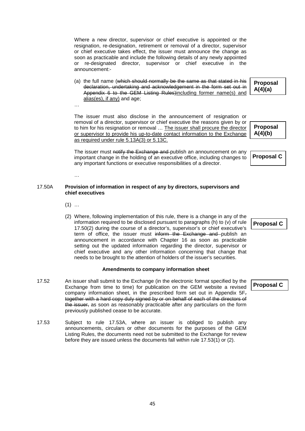Where a new director, supervisor or chief executive is appointed or the resignation, re-designation, retirement or removal of a director, supervisor or chief executive takes effect, the issuer must announce the change as soon as practicable and include the following details of any newly appointed or re-designated director, supervisor or chief executive in the announcement:-

(a) the full name (which should normally be the same as that stated in his declaration, undertaking and acknowledgement in the form set out in Appendix 6 to the GEM Listing Rules)including former name(s) and alias(es), if any) and age;

**Proposal A(4)(a)**

The issuer must also disclose in the announcement of resignation or removal of a director, supervisor or chief executive the reasons given by or to him for his resignation or removal … The issuer shall procure the director or supervisor to provide his up-to-date contact information to the Exchange as required under rule 5.13A(3) or 5.13C.

The issuer must notify the Exchange and publish an announcement on any important change in the holding of an executive office, including changes to any important functions or executive responsibilities of a director.

**Proposal C**

**Proposal A(4)(b)**

17.50A **Provision of information in respect of any by directors, supervisors and chief executives**

 $(1)$  ...

…

…

(2) Where, following implementation of this rule, there is a change in any of the information required to be disclosed pursuant to paragraphs (h) to (v) of rule 17.50(2) during the course of a director's, supervisor's or chief executive's term of office, the issuer must inform the Exchange and publish an announcement in accordance with Chapter 16 as soon as practicable setting out the updated information regarding the director, supervisor or chief executive and any other information concerning that change that needs to be brought to the attention of holders of the issuer's securities.

#### **Amendments to company information sheet**

- 17.52 An issuer shall submit to the Exchange (in the electronic format specified by the Exchange from time to time) for publication on the GEM website a revised company information sheet, in the prescribed form set out in Appendix 5F, together with a hard copy duly signed by or on behalf of each of the directors of the issuer, as soon as reasonably practicable after any particulars on the form previously published cease to be accurate.
- 17.53 Subject to rule 17.53A, where an issuer is obliged to publish any announcements, circulars or other documents for the purposes of the GEM Listing Rules, the documents need not be submitted to the Exchange for review before they are issued unless the documents fall within rule 17.53(1) or (2).

**Proposal C**

**Proposal C**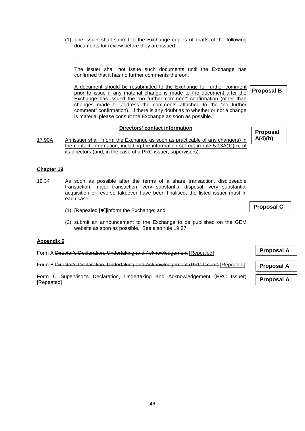(1) The issuer shall submit to the Exchange copies of drafts of the following documents for review before they are issued:

…

The issuer shall not issue such documents until the Exchange has confirmed that it has no further comments thereon.

A document should be resubmitted to the Exchange for further comment prior to issue if any material change is made to the document after the Exchange has issued the "no further comment" confirmation (other than changes made to address the comments attached to the "no further comment" confirmation). If there is any doubt as to whether or not a change is material please consult the Exchange as soon as possible.

#### **Directors' contact information**

17.90A An issuer shall inform the Exchange as soon as practicable of any change(s) in the contact information, including the information set out in rule 5.13A(1)(b), of its directors (and, in the case of a PRC issuer, supervisors).

**Proposal B**

**Proposal A(4)(b)**

#### **Chapter 19**

- 19.34 As soon as possible after the terms of a share transaction, discloseable transaction, major transaction, very substantial disposal, very substantial acquisition or reverse takeover have been finalised, the listed issuer must in each case:-
	- (1) [Repealed  $[①]$ ]inform the Exchange; and
	- (2) submit an announcement to the Exchange to be published on the GEM website as soon as possible. See also rule 19.37.

#### **Appendix 6**

Form A Director's Declaration, Undertaking and Acknowledgement [Repealed]

Form B Director's Declaration, Undertaking and Acknowledgement (PRC Issuer) [Repealed]

Form C Supervisor's Declaration, Undertaking and Acknowledgement (PRC Issuer) [Repeated]

**Proposal C**

**Proposal A**

**Proposal A**

**Proposal A**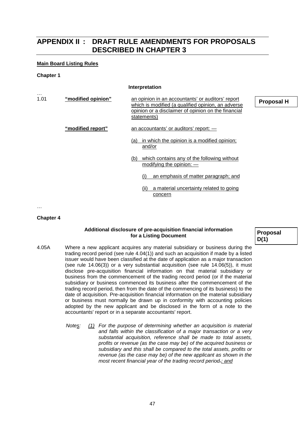# **APPENDIX II : DRAFT RULE AMENDMENTS FOR PROPOSALS DESCRIBED IN CHAPTER 3**

# **Main Board Listing Rules**

## **Chapter 1**

|           | Interpretation     |                                                                                                                                                                               |                   |  |  |
|-----------|--------------------|-------------------------------------------------------------------------------------------------------------------------------------------------------------------------------|-------------------|--|--|
| .<br>1.01 | "modified opinion" | an opinion in an accountants' or auditors' report<br>which is modified (a qualified opinion, an adverse<br>opinion or a disclaimer of opinion on the financial<br>statements) | <b>Proposal H</b> |  |  |
|           | "modified report"  | an accountants' or auditors' report: -                                                                                                                                        |                   |  |  |
|           |                    | in which the opinion is a modified opinion;<br>(a)<br>and/or                                                                                                                  |                   |  |  |
|           |                    | which contains any of the following without<br>(b)<br>modifying the opinion: $-$                                                                                              |                   |  |  |
|           |                    | an emphasis of matter paragraph; and<br>(i)                                                                                                                                   |                   |  |  |
|           |                    | a material uncertainty related to going<br>(ii)<br>concern                                                                                                                    |                   |  |  |

…

# **Chapter 4**

# **Additional disclosure of pre-acquisition financial information for a Listing Document**

**Proposal D(1)**

- 4.05A Where a new applicant acquires any material subsidiary or business during the trading record period (see rule 4.04(1)) and such an acquisition if made by a listed issuer would have been classified at the date of application as a major transaction (see rule 14.06(3)) or a very substantial acquisition (see rule 14.06(5)), it must disclose pre-acquisition financial information on that material subsidiary or business from the commencement of the trading record period (or if the material subsidiary or business commenced its business after the commencement of the trading record period, then from the date of the commencing of its business) to the date of acquisition. Pre-acquisition financial information on the material subsidiary or business must normally be drawn up in conformity with accounting policies adopted by the new applicant and be disclosed in the form of a note to the accountants' report or in a separate accountants' report.
	- *Notes: (1) For the purpose of determining whether an acquisition is material and falls within the classification of a major transaction or a very substantial acquisition, reference shall be made to total assets, profits or revenue (as the case may be) of the acquired business or subsidiary and this shall be compared to the total assets, profits or revenue (as the case may be) of the new applicant as shown in the most recent financial year of the trading record period.; and*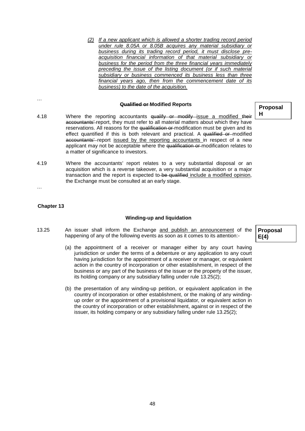*(2) If a new applicant which is allowed a shorter trading record period under rule 8.05A or 8.05B acquires any material subsidiary or business during its trading record period, it must disclose preacquisition financial information of that material subsidiary or business for the period from the three financial years immediately preceding the issue of the listing document (or if such material subsidiary or business commenced its business less than three financial years ago, then from the commencement date of its business) to the date of the acquisition.*

#### **Qualified or Modified Reports**

- 4.18 Where the reporting accountants qualify or modify issue a modified their accountants' report, they must refer to all material matters about which they have reservations. All reasons for the qualification or modification must be given and its effect quantified if this is both relevant and practical. A qualified or modified accountants' report issued by the reporting accountants in respect of a new applicant may not be acceptable where the qualification or modification relates to a matter of significance to investors.
- 4.19 Where the accountants' report relates to a very substantial disposal or an acquisition which is a reverse takeover, a very substantial acquisition or a major transaction and the report is expected to be qualified include a modified opinion, the Exchange must be consulted at an early stage.

…

…

# **Chapter 13**

#### **Winding-up and liquidation**

- 13.25 An issuer shall inform the Exchange and publish an announcement of the happening of any of the following events as soon as it comes to its attention:-
	- (a) the appointment of a receiver or manager either by any court having jurisdiction or under the terms of a debenture or any application to any court having jurisdiction for the appointment of a receiver or manager, or equivalent action in the country of incorporation or other establishment, in respect of the business or any part of the business of the issuer or the property of the issuer, its holding company or any subsidiary falling under rule 13.25(2);
	- (b) the presentation of any winding-up petition, or equivalent application in the country of incorporation or other establishment, or the making of any windingup order or the appointment of a provisional liquidator, or equivalent action in the country of incorporation or other establishment, against or in respect of the issuer, its holding company or any subsidiary falling under rule 13.25(2);

**Proposal E(4)**

**Proposal H**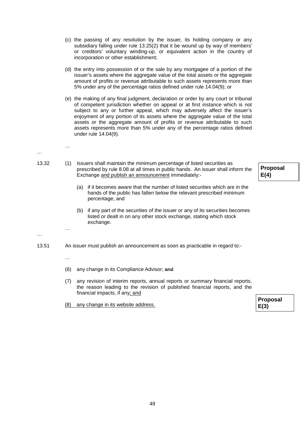- (c) the passing of any resolution by the issuer, its holding company or any subsidiary falling under rule 13.25(2) that it be wound up by way of members' or creditors' voluntary winding-up, or equivalent action in the country of incorporation or other establishment;
- (d) the entry into possession of or the sale by any mortgagee of a portion of the issuer's assets where the aggregate value of the total assets or the aggregate amount of profits or revenue attributable to such assets represents more than 5% under any of the percentage ratios defined under rule 14.04(9); or
- (e) the making of any final judgment, declaration or order by any court or tribunal of competent jurisdiction whether on appeal or at first instance which is not subject to any or further appeal, which may adversely affect the issuer's enjoyment of any portion of its assets where the aggregate value of the total assets or the aggregate amount of profits or revenue attributable to such assets represents more than 5% under any of the percentage ratios defined under rule 14.04(9).
- …
- 
- 13.32 (1) Issuers shall maintain the minimum percentage of listed securities as prescribed by rule 8.08 at all times in public hands. An issuer shall inform the Exchange and publish an announcement immediately:-
	- (a) if it becomes aware that the number of listed securities which are in the hands of the public has fallen below the relevant prescribed minimum percentage; and
	- (b) if any part of the securities of the issuer or any of its securities becomes listed or dealt in on any other stock exchange, stating which stock exchange.

#### …

13.51 An issuer must publish an announcement as soon as practicable in regard to:-

…

…

…

- (6) any change in its Compliance Advisor; and
- (7) any revision of interim reports, annual reports or summary financial reports, the reason leading to the revision of published financial reports, and the financial impacts, if any; and

(8) any change in its website address.

**Proposal E(4)**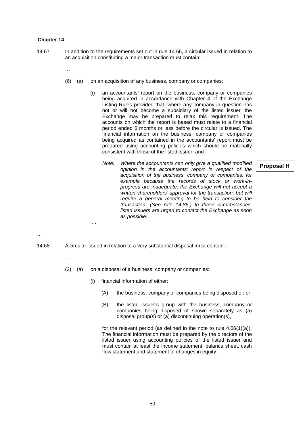#### **Chapter 14**

- 14.67 In addition to the requirements set out in rule 14.66, a circular issued in relation to an acquisition constituting a major transaction must contain:—
	- …
	- (6) (a) on an acquisition of any business, company or companies:
		- (i) an accountants' report on the business, company or companies being acquired in accordance with Chapter 4 of the Exchange Listing Rules provided that, where any company in question has not or will not become a subsidiary of the listed issuer, the Exchange may be prepared to relax this requirement. The accounts on which the report is based must relate to a financial period ended 6 months or less before the circular is issued. The financial information on the business, company or companies being acquired as contained in the accountants' report must be prepared using accounting policies which should be materially consistent with those of the listed issuer; and
			- *Note: Where the accountants can only give a qualified modified opinion in the accountants' report in respect of the acquisition of the business, company or companies, for example because the records of stock or work-inprogress are inadequate, the Exchange will not accept a written shareholders' approval for the transaction, but will require a general meeting to be held to consider the transaction. (See rule 14.86.) In these circumstances, listed issuers are urged to contact the Exchange as soon as possible.*

**Proposal H**

…

14.68 A circular issued in relation to a very substantial disposal must contain:—

…

…

- (2) (a) on a disposal of a business, company or companies:
	- (i) financial information of either:
		- (A) the business, company or companies being disposed of; or
		- (B) the listed issuer's group with the business, company or companies being disposed of shown separately as (a) disposal group(s) or (a) discontinuing operation(s),

for the relevant period (as defined in the note to rule 4.06(1)(a)). The financial information must be prepared by the directors of the listed issuer using accounting policies of the listed issuer and must contain at least the income statement, balance sheet, cash flow statement and statement of changes in equity.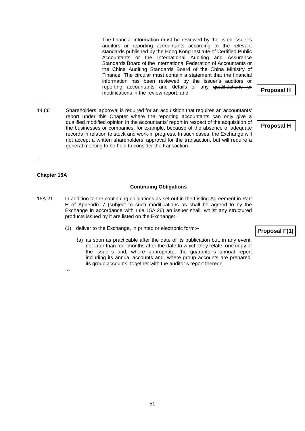The financial information must be reviewed by the listed issuer's auditors or reporting accountants according to the relevant standards published by the Hong Kong Institute of Certified Public Accountants or the International Auditing and Assurance Standards Board of the International Federation of Accountants or the China Auditing Standards Board of the China Ministry of Finance. The circular must contain a statement that the financial information has been reviewed by the issuer's auditors or reporting accountants and details of any qualifications or modifications in the review report; and

- …
- 14.86 Shareholders' approval is required for an acquisition that requires an accountants' report under this Chapter where the reporting accountants can only give a qualified modified opinion in the accountants' report in respect of the acquisition of the businesses or companies, for example, because of the absence of adequate records in relation to stock and work-in progress. In such cases, the Exchange will not accept a written shareholders' approval for the transaction, but will require a general meeting to be held to consider the transaction.

**Proposal H**

**Proposal H**

…

# **Chapter 15A**

#### **Continuing Obligations**

- 15A.21 In addition to the continuing obligations as set out in the Listing Agreement in Part H of Appendix 7 (subject to such modifications as shall be agreed to by the Exchange in accordance with rule 15A.26) an issuer shall, whilst any structured products issued by it are listed on the Exchange:–
	- (1) deliver to the Exchange, in printed or electronic form:–
		- (a) as soon as practicable after the date of its publication but, in any event, not later than four months after the date to which they relate, one copy of the issuer's and, where appropriate, the guarantor's annual report including its annual accounts and, where group accounts are prepared, its group accounts, together with the auditor's report thereon,

…

# **Proposal F(1)**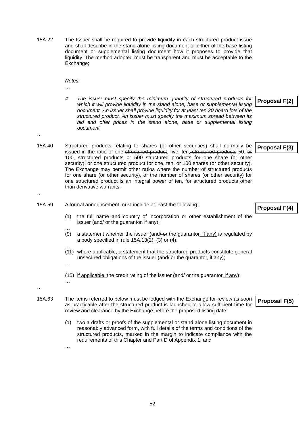15A.22 The Issuer shall be required to provide liquidity in each structured product issue and shall describe in the stand alone listing document or either of the base listing document or supplemental listing document how it proposes to provide that liquidity. The method adopted must be transparent and must be acceptable to the Exchange;

*Notes:*

…

*4. The issuer must specify the minimum quantity of structured products for which it will provide liquidity in the stand alone, base or supplemental listing document. An issuer shall provide liquidity for at least ten 20 board lots of the structured product. An issuer must specify the maximum spread between its bid and offer prices in the stand alone, base or supplemental listing document.* **Proposal F(2)**

…

…

15A.40 Structured products relating to shares (or other securities) shall normally be issued in the ratio of one structured product, five, ten, structured products 50, or 100, structured products or 500 structured products for one share (or other security); or one structured product for one, ten, or 100 shares (or other security). The Exchange may permit other ratios where the number of structured products for one share (or other security), or the number of shares (or other security) for one structured product is an integral power of ten, for structured products other than derivative warrants. **Proposal F(3)**

# 15A.59 A formal announcement must include at least the following:

- (1) the full name and country of incorporation or other establishment of the issuer (and  $\leftarrow$  the quarantor, if any);
- … (9) a statement whether the issuer (and  $\ell$ -or the guarantor, if any) is regulated by a body specified in rule 15A.13(2), (3) or (4);
- … (11) where applicable, a statement that the structured products constitute general unsecured obligations of the issuer (and  $\ell$  or the guarantor, if any);
- (15) if applicable, the credit rating of the issuer (and  $\ell$  or the guarantor, if any);

…

- 15A.63 The items referred to below must be lodged with the Exchange for review as soon as practicable after the structured product is launched to allow sufficient time for review and clearance by the Exchange before the proposed listing date:
	- $(1)$  two a drafts or proofs of the supplemental or stand alone listing document in reasonably advanced form, with full details of the terms and conditions of the structured products, marked in the margin to indicate compliance with the requirements of this Chapter and Part D of Appendix 1; and

…

…

…

**Proposal F(5)**

**Proposal F(4)**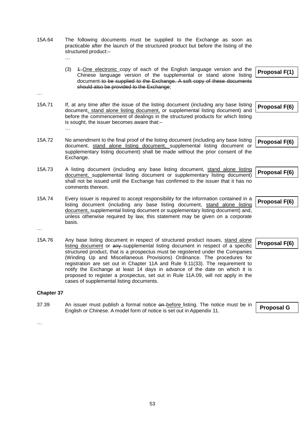- 15A.64 The following documents must be supplied to the Exchange as soon as practicable after the launch of the structured product but before the listing of the structured product:–
	- (3) 4-One electronic copy of each of the English language version and the Chinese language version of the supplemental or stand alone listing document to be supplied to the Exchange. A soft copy of these documents should also be provided to the Exchange;
- 15A.71 If, at any time after the issue of the listing document (including any base listing document, stand alone listing document, or supplemental listing document) and before the commencement of dealings in the structured products for which listing is sought, the issuer becomes aware that:– …
- 15A.72 No amendment to the final proof of the listing document (including any base listing document, stand alone listing document, supplemental listing document or supplementary listing document) shall be made without the prior consent of the Exchange.
- 15A.73 A listing document (including any base listing document, stand alone listing document, supplemental listing document or supplementary listing document) shall not be issued until the Exchange has confirmed to the issuer that it has no comments thereon.
- 15A.74 Every issuer is required to accept responsibility for the information contained in a listing document (including any base listing document, stand alone listing document, supplemental listing document or supplementary listing document) and, unless otherwise required by law, this statement may be given on a corporate basis.
- …

…

…

15A.76 Any base listing document in respect of structured product issues, stand alone listing document or any supplemental listing document in respect of a specific structured product, that is a prospectus must be registered under the Companies (Winding Up and Miscellaneous Provisions) Ordinance. The procedures for registration are set out in Chapter 11A and Rule 9.11(33). The requirement to notify the Exchange at least 14 days in advance of the date on which it is proposed to register a prospectus, set out in Rule 11A.09, will not apply in the cases of supplemental listing documents.

#### **Chapter 37**

37.39 An issuer must publish a formal notice on before listing. The notice must be in English or Chinese. A model form of notice is set out in Appendix 11. **Proposal G**

…

**Proposal F(6)**

**Proposal F(6)**

**Proposal F(6)**

**Proposal F(6)**

**Proposal F(6)**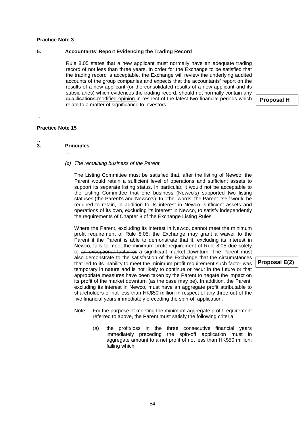# **Practice Note 3**

# **5. Accountants' Report Evidencing the Trading Record**

Rule 8.05 states that a new applicant must normally have an adequate trading record of not less than three years. In order for the Exchange to be satisfied that the trading record is acceptable, the Exchange will review the underlying audited accounts of the group companies and expects that the accountants' report on the results of a new applicant (or the consolidated results of a new applicant and its subsidiaries) which evidences the trading record, should not normally contain any qualifications modified opinion in respect of the latest two financial periods which relate to a matter of significance to investors.

**Proposal H**

```
…
```
## **Practice Note 15**

- … **3. Principles** 
	- …

# *(c) The remaining business of the Parent*

The Listing Committee must be satisfied that, after the listing of Newco, the Parent would retain a sufficient level of operations and sufficient assets to support its separate listing status. In particular, it would not be acceptable to the Listing Committee that one business (Newco's) supported two listing statuses (the Parent's and Newco's). In other words, the Parent itself would be required to retain, in addition to its interest in Newco, sufficient assets and operations of its own, excluding its interest in Newco, to satisfy independently the requirements of Chapter 8 of the Exchange Listing Rules.

Where the Parent, excluding its interest in Newco, cannot meet the minimum profit requirement of Rule 8.05, the Exchange may grant a waiver to the Parent if the Parent is able to demonstrate that it, excluding its interest in Newco, fails to meet the minimum profit requirement of Rule 8.05 due solely to an exceptional factor or a significant market downturn. The Parent must also demonstrate to the satisfaction of the Exchange that the circumstances that led to its inability to meet the minimum profit requirement such factor was temporary in nature and is not likely to continue or recur in the future or that appropriate measures have been taken by the Parent to negate the impact on its profit of the market downturn (as the case may be). In addition, the Parent, excluding its interest in Newco, must have an aggregate profit attributable to shareholders of not less than HK\$50 million in respect of any three out of the five financial years immediately preceding the spin-off application.

- Note: For the purpose of meeting the minimum aggregate profit requirement referred to above, the Parent must satisfy the following criteria:
	- (a) the profit/loss in the three consecutive financial years immediately preceding the spin-off application must in aggregate amount to a net profit of not less than HK\$50 million; failing which

**Proposal E(2)**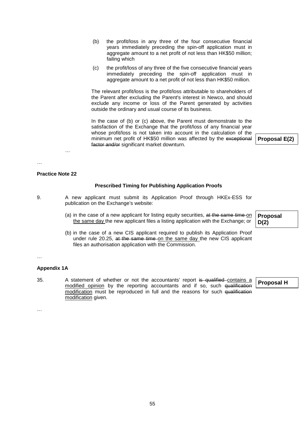- (b) the profit/loss in any three of the four consecutive financial years immediately preceding the spin-off application must in aggregate amount to a net profit of not less than HK\$50 million; failing which
- (c) the profit/loss of any three of the five consecutive financial years immediately preceding the spin-off application must in aggregate amount to a net profit of not less than HK\$50 million.

The relevant profit/loss is the profit/loss attributable to shareholders of the Parent after excluding the Parent's interest in Newco, and should exclude any income or loss of the Parent generated by activities outside the ordinary and usual course of its business.

In the case of (b) or (c) above, the Parent must demonstrate to the satisfaction of the Exchange that the profit/loss of any financial year whose profit/loss is not taken into account in the calculation of the minimum net profit of HK\$50 million was affected by the exceptional factor and/or significant market downturn.

**Proposal E(2)**

…

#### **Practice Note 22**

…

#### **Prescribed Timing for Publishing Application Proofs**

- 9. A new applicant must submit its Application Proof through HKEx-ESS for publication on the Exchange's website:
	- (a) in the case of a new applicant for listing equity securities, at the same time on the same day the new applicant files a listing application with the Exchange; or
	- (b) in the case of a new CIS applicant required to publish its Application Proof under rule 20.25, at the same time on the same day the new CIS applicant files an authorisation application with the Commission.

#### …

#### **Appendix 1A**

35. A statement of whether or not the accountants' report is qualified contains a modified opinion by the reporting accountants and if so, such qualification modification must be reproduced in full and the reasons for such qualification modification given.

**Proposal H**

…

**Proposal D(2)**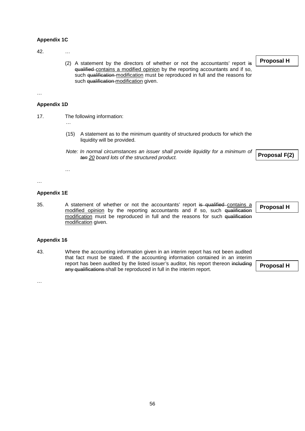# **Appendix 1C**

42. …

(2) A statement by the directors of whether or not the accountants' report is qualified contains a modified opinion by the reporting accountants and if so, such qualification modification must be reproduced in full and the reasons for such qualification modification given.

…

## **Appendix 1D**

17. The following information:

…

…

- (15) A statement as to the minimum quantity of structured products for which the liquidity will be provided.
- *Note: In normal circumstances an issuer shall provide liquidity for a minimum of ten 20 board lots of the structured product.*

…

#### **Appendix 1E**

35. A statement of whether or not the accountants' report is qualified contains a modified opinion by the reporting accountants and if so, such qualification modification must be reproduced in full and the reasons for such qualification modification given.

**Proposal H**

**Proposal F(2)**

#### **Appendix 16**

43. Where the accounting information given in an interim report has not been audited that fact must be stated. If the accounting information contained in an interim report has been audited by the listed issuer's auditor, his report thereon including any qualifications shall be reproduced in full in the interim report.

**Proposal H**

…

**Proposal H**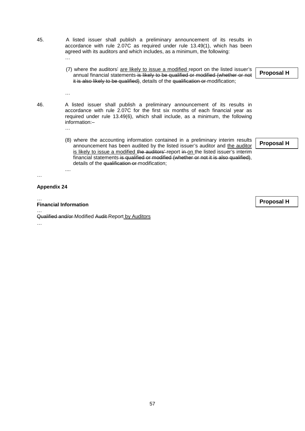- 45. A listed issuer shall publish a preliminary announcement of its results in accordance with rule 2.07C as required under rule 13.49(1), which has been agreed with its auditors and which includes, as a minimum, the following: …
	- (7) where the auditors' are likely to issue a modified report on the listed issuer's annual financial statements is likely to be qualified or modified (whether or not it is also likely to be qualified), details of the qualification or modification;
- 46. A listed issuer shall publish a preliminary announcement of its results in accordance with rule 2.07C for the first six months of each financial year as required under rule 13.49(6), which shall include, as a minimum, the following information:–
	- (8) where the accounting information contained in a preliminary interim results announcement has been audited by the listed issuer's auditor and the auditor is likely to issue a modified the auditors' report in on the listed issuer's interim financial statements is qualified or modified (whether or not it is also qualified), details of the qualification or modification;

**Proposal H**

**Proposal H**

# **Appendix 24**

…

…

**Financial Information**

…

…

....

… Qualified and/or Modified Audit Report by Auditors …

**Proposal H**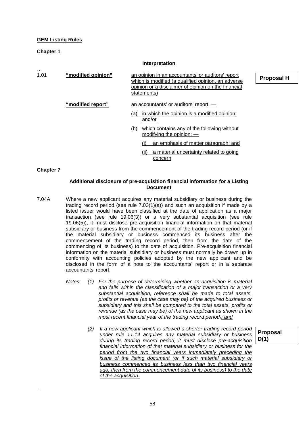#### **GEM Listing Rules**

**Chapter 1**

|           |                    | $I\cup I$ is the controll                                                                                                                                                                       |
|-----------|--------------------|-------------------------------------------------------------------------------------------------------------------------------------------------------------------------------------------------|
| .<br>1.01 | "modified opinion" | an opinion in an accountants' or auditors' report<br>P <sub>1</sub><br>which is modified (a qualified opinion, an adverse<br>opinion or a disclaimer of opinion on the financial<br>statements) |
|           | "modified report"  | an accountants' or auditors' report: $-$<br>in which the opinion is a modified opinion;<br>(a)<br>and/or                                                                                        |
|           |                    | which contains any of the following without<br>(b)<br>modifying the opinion: $-$                                                                                                                |
|           |                    | an emphasis of matter paragraph; and                                                                                                                                                            |
|           |                    | a material uncertainty related to going<br>(ii)<br>concern                                                                                                                                      |

**Interpretation**

#### **Chapter 7**

…

# **Additional disclosure of pre-acquisition financial information for a Listing Document**

- 7.04A Where a new applicant acquires any material subsidiary or business during the trading record period (see rule 7.03(1)(a)) and such an acquisition if made by a listed issuer would have been classified at the date of application as a major transaction (see rule 19.06(3)) or a very substantial acquisition (see rule 19.06(5)), it must disclose pre-acquisition financial information on that material subsidiary or business from the commencement of the trading record period (or if the material subsidiary or business commenced its business after the commencement of the trading record period, then from the date of the commencing of its business) to the date of acquisition. Pre-acquisition financial information on the material subsidiary or business must normally be drawn up in conformity with accounting policies adopted by the new applicant and be disclosed in the form of a note to the accountants' report or in a separate accountants' report.
	- *Notes: (1) For the purpose of determining whether an acquisition is material and falls within the classification of a major transaction or a very substantial acquisition, reference shall be made to total assets, profits or revenue (as the case may be) of the acquired business or subsidiary and this shall be compared to the total assets, profits or revenue (as the case may be) of the new applicant as shown in the most recent financial year of the trading record period.; and*
		- *(2) If a new applicant which is allowed a shorter trading record period under rule 11.14 acquires any material subsidiary or business during its trading record period, it must disclose pre-acquisition financial information of that material subsidiary or business for the period from the two financial years immediately preceding the issue of the listing document (or if such material subsidiary or business commenced its business less than two financial years ago, then from the commencement date of its business) to the date of the acquisition.*

**Proposal D(1)**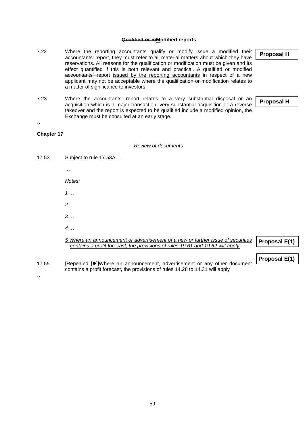#### **Qualified or mModified reports**

- 7.22 Where the reporting accountants qualify or modify issue a modified their accountants' report, they must refer to all material matters about which they have reservations. All reasons for the qualification or modification must be given and its effect quantified if this is both relevant and practical. A qualified or modified accountants' report issued by the reporting accountants in respect of a new applicant may not be acceptable where the qualification or modification relates to a matter of significance to investors.
- 7.23 Where the accountants' report relates to a very substantial disposal or an acquisition which is a major transaction, very substantial acquisition or a reverse takeover and the report is expected to be qualified include a modified opinion, the Exchange must be consulted at an early stage.

**Proposal H**

**Proposal H**

…

# **Chapter 17**

# *Review of documents*

17.53 Subject to rule 17.53A …

*Notes:* 

…

*1 …*

*2 …*

*3 …*

*4 …*

*5 Where an announcement or advertisement of a new or further issue of securities contains a profit forecast, the provisions of rules 19.61 and 19.62 will apply.* 

**Proposal E(1)**

**Proposal E(1)**

… 17.55 [Repealed [ $\bullet$ ]]Where an announcement, advertisement or any other document contains a profit forecast, the provisions of rules 14.28 to 14.31 will apply.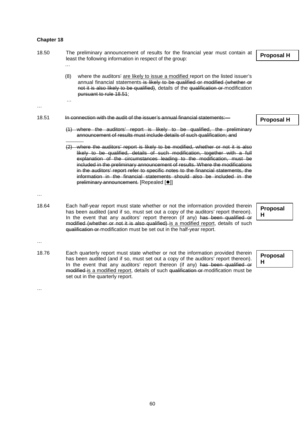# **Chapter 18**

…

…

- 18.50 The preliminary announcement of results for the financial year must contain at least the following information in respect of the group:
	- (8) where the auditors' are likely to issue a modified report on the listed issuer's annual financial statements is likely to be qualified or modified (whether or not it is also likely to be qualified), details of the qualification or modification pursuant to rule 18.51;

#### …

# 18.51 In connection with the audit of the issuer's annual financial statements:

- (1) where the auditors' report is likely to be qualified, the preliminary announcement of results must include details of such qualification; and
- (2) where the auditors' report is likely to be modified, whether or not it is also likely to be qualified, details of such modification, together with a full explanation of the circumstances leading to the modification, must be included in the preliminary announcement of results. Where the modifications in the auditors' report refer to specific notes to the financial statements, the information in the financial statements should also be included in the preliminary announcement. [Repealed [ $\bullet$ ]]

…

18.64 Each half-year report must state whether or not the information provided therein has been audited (and if so, must set out a copy of the auditors' report thereon). In the event that any auditors' report thereon (if any) has been qualified or modified (whether or not it is also qualified) is a modified report, details of such qualification or modification must be set out in the half-year report.

**Proposal H**

…

…

18.76 Each quarterly report must state whether or not the information provided therein has been audited (and if so, must set out a copy of the auditors' report thereon). In the event that any auditors' report thereon (if any) has been qualified or modified is a modified report, details of such qualification or modification must be set out in the quarterly report.

**Proposal H**

# **Proposal H**

**Proposal H**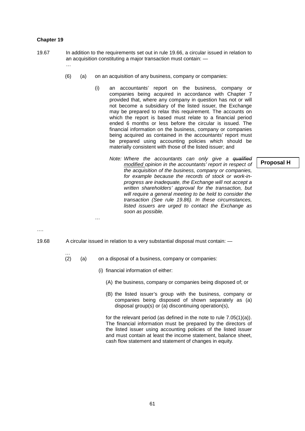## **Chapter 19**

- 19.67 In addition to the requirements set out in rule 19.66, a circular issued in relation to an acquisition constituting a major transaction must contain: — …
	- (6) (a) on an acquisition of any business, company or companies:
		- (i) an accountants' report on the business, company or companies being acquired in accordance with Chapter 7 provided that, where any company in question has not or will not become a subsidiary of the listed issuer, the Exchange may be prepared to relax this requirement. The accounts on which the report is based must relate to a financial period ended 6 months or less before the circular is issued. The financial information on the business, company or companies being acquired as contained in the accountants' report must be prepared using accounting policies which should be materially consistent with those of the listed issuer; and
			- *Note: Where the accountants can only give a qualified modified opinion in the accountants' report in respect of the acquisition of the business, company or companies, for example because the records of stock or work-inprogress are inadequate, the Exchange will not accept a written shareholders' approval for the transaction, but will require a general meeting to be held to consider the transaction (See rule 19.86). In these circumstances, listed issuers are urged to contact the Exchange as soon as possible.*

**Proposal H**

….

…

19.68 A circular issued in relation to a very substantial disposal must contain: —

…

- (2) (a) on a disposal of a business, company or companies:
	- (i) financial information of either:
		- (A) the business, company or companies being disposed of; or
		- (B) the listed issuer's group with the business, company or companies being disposed of shown separately as (a) disposal group(s) or (a) discontinuing operation(s),

for the relevant period (as defined in the note to rule 7.05(1)(a)). The financial information must be prepared by the directors of the listed issuer using accounting policies of the listed issuer and must contain at least the income statement, balance sheet, cash flow statement and statement of changes in equity.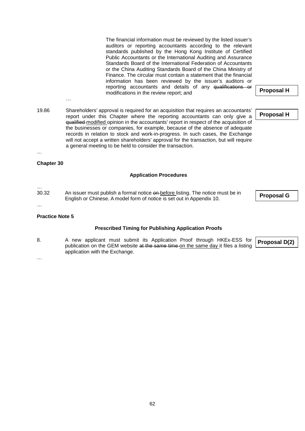Standards Board of the International Federation of Accountants or the China Auditing Standards Board of the China Ministry of Finance. The circular must contain a statement that the financial information has been reviewed by the issuer's auditors or reporting accountants and details of any qualifications or modifications in the review report; and … 19.86 Shareholders' approval is required for an acquisition that requires an accountants' report under this Chapter where the reporting accountants can only give a qualified modified opinion in the accountants' report in respect of the acquisition of the businesses or companies, for example, because of the absence of adequate records in relation to stock and work-in-progress. In such cases, the Exchange will not accept a written shareholders' approval for the transaction, but will require a general meeting to be held to consider the transaction. … **Chapter 30 Application Procedures Proposal H Proposal H**

The financial information must be reviewed by the listed issuer's auditors or reporting accountants according to the relevant standards published by the Hong Kong Institute of Certified Public Accountants or the International Auditing and Assurance

… 30.32 An issuer must publish a formal notice on before listing. The notice must be in English or Chinese. A model form of notice is set out in Appendix 10.

# …

…

**Practice Note 5**

# **Prescribed Timing for Publishing Application Proofs**

8. A new applicant must submit its Application Proof through HKEx-ESS for publication on the GEM website at the same time on the same day it files a listing application with the Exchange. **Proposal D(2)**

**Proposal G**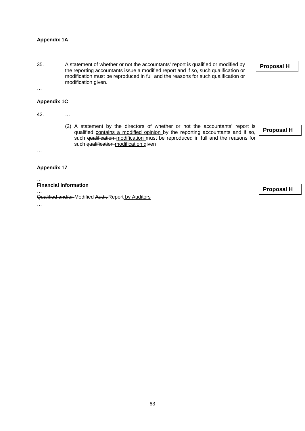# **Appendix 1A**

35. A statement of whether or not the accountants' report is qualified or modified by the reporting accountants issue a modified report and if so, such qualification or modification must be reproduced in full and the reasons for such qualification or modification given.

**Proposal H**

# **Appendix 1C**

42. …

…

…

…

…

(2) A statement by the directors of whether or not the accountants' report is qualified contains a modified opinion by the reporting accountants and if so, such qualification modification must be reproduced in full and the reasons for such qualification modification given

**Proposal H**

#### **Appendix 17**

#### … **Financial Information**

Qualified and/or-Modified Audit-Report by Auditors

**Proposal H**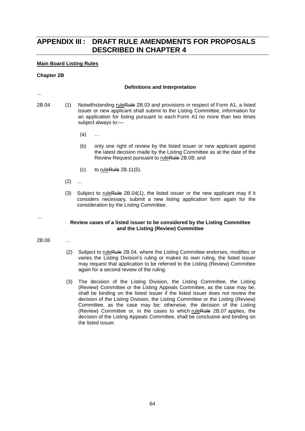# **APPENDIX III : DRAFT RULE AMENDMENTS FOR PROPOSALS DESCRIBED IN CHAPTER 4**

# **Main Board Listing Rules**

# **Chapter 2B**

…

#### **Definitions and Interpretation**

- 2B.04 (1) Notwithstanding ruleRule 2B.03 and provisions in respect of [Form A1,](http://en-rules.hkex.com.hk/en/display/display.html?rbid=4476&element_id=3756) a listed issuer or new applicant shall submit to the Listing Committee, information for an application for listing pursuant to each [Form A1](http://en-rules.hkex.com.hk/en/display/display.html?rbid=4476&element_id=3756) no more than two times subject always to:—
	- (a) …
	- (b) only one right of review by the listed issuer or new applicant against the latest decision made by the Listing Committee as at the date of the Review Request pursuant to ruleRule 2B.08; and
	- $(c)$  to rule Rule 2B.11(5).
	- $(2)$  ...
	- (3) Subject to ruleRule 2B.04(1), the listed issuer or the new applicant may if it considers necessary, submit a new listing application form again for the consideration by the Listing Committee.

#### **Review cases of a listed issuer to be considered by the Listing Committee and the Listing (Review) Committee**

2B.06 …

- (2) Subject to ruleRule 2B.04, where the Listing Committee endorses, modifies or varies the Listing Division's ruling or makes its own ruling, the listed issuer may request that application to be referred to the Listing (Review) Committee again for a second review of the ruling.
- (3) The decision of the Listing Division, the Listing Committee, the Listing (Review) Committee or the Listing Appeals Committee, as the case may be, shall be binding on the listed issuer if the listed issuer does not review the decision of the Listing Division, the Listing Committee or the Listing (Review) Committee, as the case may be; otherwise, the decision of the Listing (Review) Committee or, in the cases to which ruleRule 2B.07 applies, the decision of the Listing Appeals Committee, shall be conclusive and binding on the listed issuer.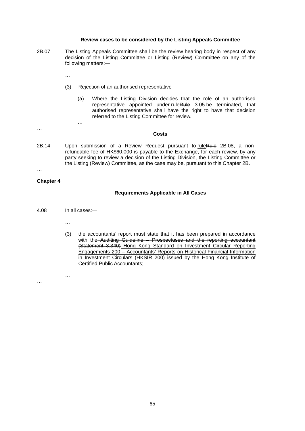#### **Review cases to be considered by the Listing Appeals Committee**

- 2B.07 The Listing Appeals Committee shall be the review hearing body in respect of any decision of the Listing Committee or Listing (Review) Committee on any of the following matters:—
	- …

…

- (3) Rejection of an authorised representative
	- (a) Where the Listing Division decides that the role of an authorised representative appointed under ruleRule 3.05 be terminated, that authorised representative shall have the right to have that decision referred to the Listing Committee for review.

#### **Costs**

2B.14 Upon submission of a Review Request pursuant to ruleRule 2B.08, a nonrefundable fee of HK\$60,000 is payable to the Exchange, for each review, by any party seeking to review a decision of the Listing Division, the Listing Committee or the Listing (Review) Committee, as the case may be, pursuant to this Chapter 2B.

…

…

…

…

#### **Chapter 4**

# **Requirements Applicable in All Cases**

4.08 In all cases:—

- …
	- (3) the accountants' report must state that it has been prepared in accordance with the Auditing Guideline – Prospectuses and the reporting accountant (Statement 3.340) Hong Kong Standard on Investment Circular Reporting Engagements 200 – Accountants' Reports on Historical Financial Information in Investment Circulars (HKSIR 200) issued by the Hong Kong Institute of Certified Public Accountants;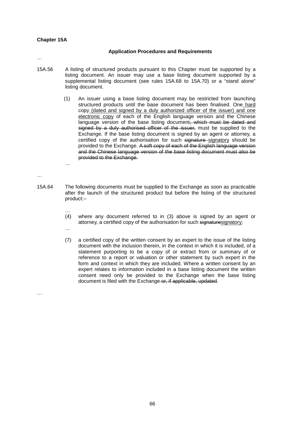# **Chapter 15A**

…

…

# **Application Procedures and Requirements**

…

…

- 15A.56 A listing of structured products pursuant to this Chapter must be supported by a listing document. An issuer may use a base listing document supported by a supplemental listing document (see rules 15A.68 to 15A.70) or a "stand alone" listing document.
	- (1) An issuer using a base listing document may be restricted from launching structured products until the base document has been finalised. One hard copy (dated and signed by a duly authorized officer of the issuer) and one electronic copy of each of the English language version and the Chinese language version of the base listing document<del>, which must be dated and</del> signed by a duly authorised officer of the issuer, must be supplied to the Exchange. If the base listing document is signed by an agent or attorney, a certified copy of the authorisation for such signature signatory should be provided to the Exchange. A soft copy of each of the English language version and the Chinese language version of the base listing document must also be provided to the Exchange.
- 15A.64 The following documents must be supplied to the Exchange as soon as practicable after the launch of the structured product but before the listing of the structured product:–
	- (4) where any document referred to in (3) above is signed by an agent or attorney, a certified copy of the authorisation for such signaturesignatory; …
	- (7) a certified copy of the written consent by an expert to the issue of the listing document with the inclusion therein, in the context in which it is included, of a statement purporting to be a copy of or extract from or summary of or reference to a report or valuation or other statement by such expert in the form and context in which they are included. Where a written consent by an expert relates to information included in a base listing document the written consent need only be provided to the Exchange when the base listing document is filed with the Exchange or, if applicable, updated.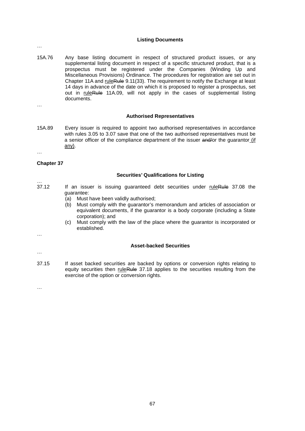#### **Listing Documents**

…

15A.76 Any base listing document in respect of structured product issues, or any supplemental listing document in respect of a specific structured product, that is a prospectus must be registered under the Companies (Winding Up and Miscellaneous Provisions) Ordinance. The procedures for registration are set out in Chapter 11A and ruleRule 9.11(33). The requirement to notify the Exchange at least 14 days in advance of the date on which it is proposed to register a prospectus, set out in ruleRule 11A.09, will not apply in the cases of supplemental listing documents.

…

#### **Authorised Representatives**

15A.89 Every issuer is required to appoint two authorised representatives in accordance with rules 3.05 to 3.07 save that one of the two authorised representatives must be a senior officer of the compliance department of the issuer and/or the guarantor lif any).

…

…

# **Chapter 37**

#### **Securities' Qualifications for Listing**

- 37.12 If an issuer is issuing guaranteed debt securities under ruleRule 37.08 the guarantee:
	- (a) Must have been validly authorised;
	- (b) Must comply with the guarantor's memorandum and articles of association or equivalent documents, if the guarantor is a body corporate (including a State corporation); and
	- (c) Must comply with the law of the place where the guarantor is incorporated or established.

…

#### **Asset-backed Securities**

…

37.15 If asset backed securities are backed by options or conversion rights relating to equity securities then ruleRule 37.18 applies to the securities resulting from the exercise of the option or conversion rights.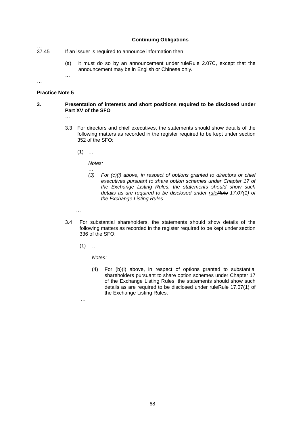## **Continuing Obligations**

- 37.45 If an issuer is required to announce information then
	- (a) it must do so by an announcement under ruleRule 2.07C, except that the announcement may be in English or Chinese only.

…

#### **Practice Note 5**

#### **3. Presentation of interests and short positions required to be disclosed under Part XV of the SFO**

…

…

- 3.3 For directors and chief executives, the statements should show details of the following matters as recorded in the register required to be kept under section 352 of the SFO:
	- $(1)$  ...

*Notes:*

- … *(3) For (c)(i) above, in respect of options granted to directors or chief executives pursuant to share option schemes under Chapter 17 of the Exchange Listing Rules, the statements should show such details as are required to be disclosed under ruleRule 17.07(1) of the Exchange Listing Rules*
- 3.4 For substantial shareholders, the statements should show details of the following matters as recorded in the register required to be kept under section 336 of the SFO:
	- $(1)$  ...

…

…

…

…

*Notes:*

… (4) For (b)(i) above, in respect of options granted to substantial shareholders pursuant to share option schemes under Chapter 17 of the Exchange Listing Rules, the statements should show such details as are required to be disclosed under ruleRule 17.07(1) of the Exchange Listing Rules.

68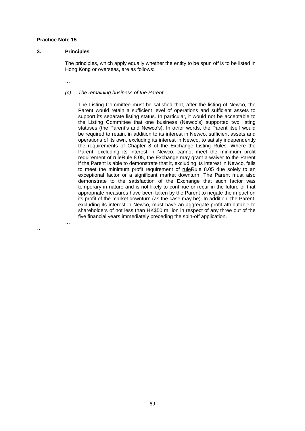# **Practice Note 15**

# **3. Principles**

The principles, which apply equally whether the entity to be spun off is to be listed in Hong Kong or overseas, are as follows:

…

…

…

#### *(c) The remaining business of the Parent*

The Listing Committee must be satisfied that, after the listing of Newco, the Parent would retain a sufficient level of operations and sufficient assets to support its separate listing status. In particular, it would not be acceptable to the Listing Committee that one business (Newco's) supported two listing statuses (the Parent's and Newco's). In other words, the Parent itself would be required to retain, in addition to its interest in Newco, sufficient assets and operations of its own, excluding its interest in Newco, to satisfy independently the requirements of Chapter 8 of the Exchange Listing Rules. Where the Parent, excluding its interest in Newco, cannot meet the minimum profit requirement of ruleRule 8.05, the Exchange may grant a waiver to the Parent if the Parent is able to demonstrate that it, excluding its interest in Newco, fails to meet the minimum profit requirement of ruleRule 8.05 due solely to an exceptional factor or a significant market downturn. The Parent must also demonstrate to the satisfaction of the Exchange that such factor was temporary in nature and is not likely to continue or recur in the future or that appropriate measures have been taken by the Parent to negate the impact on its profit of the market downturn (as the case may be). In addition, the Parent, excluding its interest in Newco, must have an aggregate profit attributable to shareholders of not less than HK\$50 million in respect of any three out of the five financial years immediately preceding the spin-off application.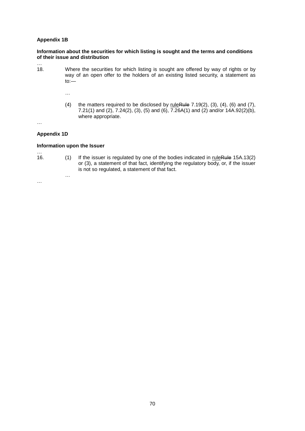#### **Appendix 1B**

#### **Information about the securities for which listing is sought and the terms and conditions of their issue and distribution**

- …<br>18. Where the securities for which listing is sought are offered by way of rights or by way of an open offer to the holders of an existing listed security, a statement as  $\overline{\text{to}}$ : $\overline{\text{to}}$ 
	- (4) the matters required to be disclosed by rule  $Rule 7.19(2)$ ,  $(3)$ ,  $(4)$ ,  $(6)$  and  $(7)$ , 7.21(1) and (2), 7.24(2), (3), (5) and (6),  $\overline{7.26}A(1)$  and (2) and/or 14A.92(2)(b), where appropriate.

…

#### **Appendix 1D**

#### **Information upon the Issuer**

…

…

…<br>16.

(1) If the issuer is regulated by one of the bodies indicated in  $ruleRule = 13(2)$ or (3), a statement of that fact, identifying the regulatory body, or, if the issuer is not so regulated, a statement of that fact.

…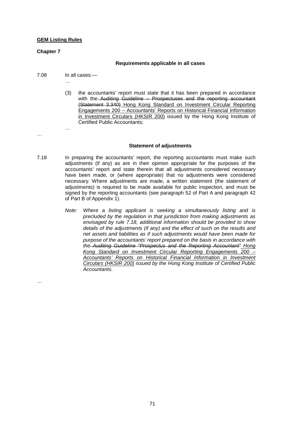#### **GEM Listing Rules**

#### **Chapter 7**

…

…

#### **Requirements applicable in all cases**

7.08 In all cases:—

…

- …
- (3) the accountants' report must state that it has been prepared in accordance with the Auditing Guideline – Prospectuses and the reporting accountant (Statement 3.340) Hong Kong Standard on Investment Circular Reporting Engagements 200 – Accountants' Reports on Historical Financial Information in Investment Circulars (HKSIR 200) issued by the Hong Kong Institute of Certified Public Accountants;

#### **Statement of adjustments**

- 7.18 In preparing the accountants' report, the reporting accountants must make such adjustments (if any) as are in their opinion appropriate for the purposes of the accountants' report and state therein that all adjustments considered necessary have been made, or (where appropriate) that no adjustments were considered necessary. Where adjustments are made, a written statement (the statement of adjustments) is required to be made available for public inspection, and must be signed by the reporting accountants (see paragraph 52 of Part A and paragraph 42 of Part B of Appendix 1).
	- *Note: Where a listing applicant is seeking a simultaneously listing and is precluded by the regulation in that jurisdiction from making adjustments as envisaged by rule 7.18, additional information should be provided to show details of the adjustments (if any) and the effect of such on the results and net assets and liabilities as if such adjustments would have been made for purpose of the accountants' report prepared on the basis in accordance with the Auditing Guideline "Prospectus and the Reporting Accountant" Hong Kong Standard on Investment Circular Reporting Engagements 200 – Accountants' Reports on Historical Financial Information in Investment Circulars (HKSIR 200) issued by the Hong Kong Institute of Certified Public Accountants.*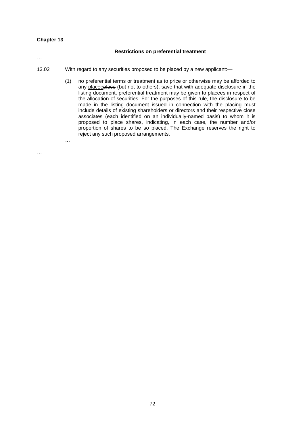#### **Chapter 13**

…

#### **Restrictions on preferential treatment**

…

…

- 13.02 With regard to any securities proposed to be placed by a new applicant:—
	- (1) no preferential terms or treatment as to price or otherwise may be afforded to any placeeplace (but not to others), save that with adequate disclosure in the listing document, preferential treatment may be given to placees in respect of the allocation of securities. For the purposes of this rule, the disclosure to be made in the listing document issued in connection with the placing must include details of existing shareholders or directors and their respective close associates (each identified on an individually-named basis) to whom it is proposed to place shares, indicating, in each case, the number and/or proportion of shares to be so placed. The Exchange reserves the right to reject any such proposed arrangements.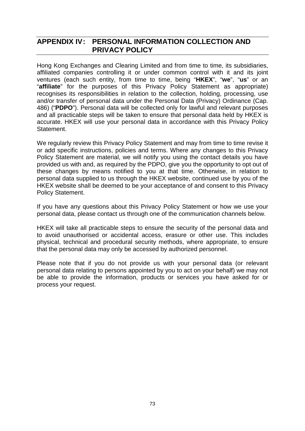# **APPENDIX IV: PERSONAL INFORMATION COLLECTION AND PRIVACY POLICY**

Hong Kong Exchanges and Clearing Limited and from time to time, its subsidiaries, affiliated companies controlling it or under common control with it and its joint ventures (each such entity, from time to time, being "**HKEX**", "**we**", "**us**" or an "**affiliate**" for the purposes of this Privacy Policy Statement as appropriate) recognises its responsibilities in relation to the collection, holding, processing, use and/or transfer of personal data under the Personal Data (Privacy) Ordinance (Cap. 486) ("**PDPO**"). Personal data will be collected only for lawful and relevant purposes and all practicable steps will be taken to ensure that personal data held by HKEX is accurate. HKEX will use your personal data in accordance with this Privacy Policy Statement.

We regularly review this Privacy Policy Statement and may from time to time revise it or add specific instructions, policies and terms. Where any changes to this Privacy Policy Statement are material, we will notify you using the contact details you have provided us with and, as required by the PDPO, give you the opportunity to opt out of these changes by means notified to you at that time. Otherwise, in relation to personal data supplied to us through the HKEX website, continued use by you of the HKEX website shall be deemed to be your acceptance of and consent to this Privacy Policy Statement.

If you have any questions about this Privacy Policy Statement or how we use your personal data, please contact us through one of the communication channels below.

HKEX will take all practicable steps to ensure the security of the personal data and to avoid unauthorised or accidental access, erasure or other use. This includes physical, technical and procedural security methods, where appropriate, to ensure that the personal data may only be accessed by authorized personnel.

Please note that if you do not provide us with your personal data (or relevant personal data relating to persons appointed by you to act on your behalf) we may not be able to provide the information, products or services you have asked for or process your request.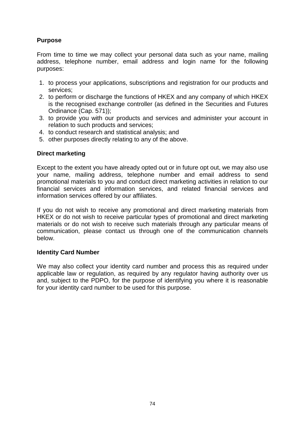## **Purpose**

From time to time we may collect your personal data such as your name, mailing address, telephone number, email address and login name for the following purposes:

- 1. to process your applications, subscriptions and registration for our products and services;
- 2. to perform or discharge the functions of HKEX and any company of which HKEX is the recognised exchange controller (as defined in the Securities and Futures Ordinance (Cap. 571));
- 3. to provide you with our products and services and administer your account in relation to such products and services;
- 4. to conduct research and statistical analysis; and
- 5. other purposes directly relating to any of the above.

## **Direct marketing**

Except to the extent you have already opted out or in future opt out, we may also use your name, mailing address, telephone number and email address to send promotional materials to you and conduct direct marketing activities in relation to our financial services and information services, and related financial services and information services offered by our affiliates.

If you do not wish to receive any promotional and direct marketing materials from HKEX or do not wish to receive particular types of promotional and direct marketing materials or do not wish to receive such materials through any particular means of communication, please contact us through one of the communication channels below.

## **Identity Card Number**

We may also collect your identity card number and process this as required under applicable law or regulation, as required by any regulator having authority over us and, subject to the PDPO, for the purpose of identifying you where it is reasonable for your identity card number to be used for this purpose.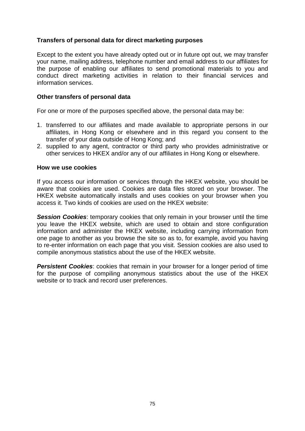## **Transfers of personal data for direct marketing purposes**

Except to the extent you have already opted out or in future opt out, we may transfer your name, mailing address, telephone number and email address to our affiliates for the purpose of enabling our affiliates to send promotional materials to you and conduct direct marketing activities in relation to their financial services and information services.

## **Other transfers of personal data**

For one or more of the purposes specified above, the personal data may be:

- 1. transferred to our affiliates and made available to appropriate persons in our affiliates, in Hong Kong or elsewhere and in this regard you consent to the transfer of your data outside of Hong Kong; and
- 2. supplied to any agent, contractor or third party who provides administrative or other services to HKEX and/or any of our affiliates in Hong Kong or elsewhere.

#### **How we use cookies**

If you access our information or services through the HKEX website, you should be aware that cookies are used. Cookies are data files stored on your browser. The HKEX website automatically installs and uses cookies on your browser when you access it. Two kinds of cookies are used on the HKEX website:

**Session Cookies:** temporary cookies that only remain in your browser until the time you leave the HKEX website, which are used to obtain and store configuration information and administer the HKEX website, including carrying information from one page to another as you browse the site so as to, for example, avoid you having to re-enter information on each page that you visit. Session cookies are also used to compile anonymous statistics about the use of the HKEX website.

**Persistent Cookies:** cookies that remain in your browser for a longer period of time for the purpose of compiling anonymous statistics about the use of the HKEX website or to track and record user preferences.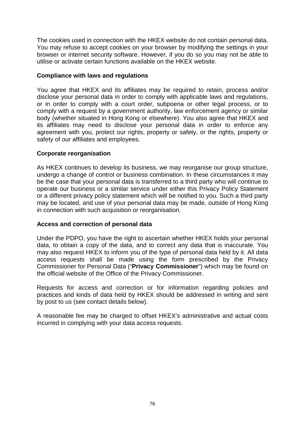The cookies used in connection with the HKEX website do not contain personal data. You may refuse to accept cookies on your browser by modifying the settings in your browser or internet security software. However, if you do so you may not be able to utilise or activate certain functions available on the HKEX website.

## **Compliance with laws and regulations**

You agree that HKEX and its affiliates may be required to retain, process and/or disclose your personal data in order to comply with applicable laws and regulations, or in order to comply with a court order, subpoena or other legal process, or to comply with a request by a government authority, law enforcement agency or similar body (whether situated in Hong Kong or elsewhere). You also agree that HKEX and its affiliates may need to disclose your personal data in order to enforce any agreement with you, protect our rights, property or safety, or the rights, property or safety of our affiliates and employees.

## **Corporate reorganisation**

As HKEX continues to develop its business, we may reorganise our group structure, undergo a change of control or business combination. In these circumstances it may be the case that your personal data is transferred to a third party who will continue to operate our business or a similar service under either this Privacy Policy Statement or a different privacy policy statement which will be notified to you. Such a third party may be located, and use of your personal data may be made, outside of Hong Kong in connection with such acquisition or reorganisation.

## **Access and correction of personal data**

Under the PDPO, you have the right to ascertain whether HKEX holds your personal data, to obtain a copy of the data, and to correct any data that is inaccurate. You may also request HKEX to inform you of the type of personal data held by it. All data access requests shall be made using the form prescribed by the Privacy Commissioner for Personal Data ("**Privacy Commissioner**") which may be found on the official website of the Office of the Privacy Commissioner.

Requests for access and correction or for information regarding policies and practices and kinds of data held by HKEX should be addressed in writing and sent by post to us (see contact details below).

A reasonable fee may be charged to offset HKEX's administrative and actual costs incurred in complying with your data access requests.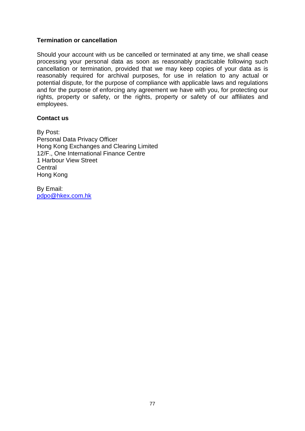## **Termination or cancellation**

Should your account with us be cancelled or terminated at any time, we shall cease processing your personal data as soon as reasonably practicable following such cancellation or termination, provided that we may keep copies of your data as is reasonably required for archival purposes, for use in relation to any actual or potential dispute, for the purpose of compliance with applicable laws and regulations and for the purpose of enforcing any agreement we have with you, for protecting our rights, property or safety, or the rights, property or safety of our affiliates and employees.

## **Contact us**

By Post: Personal Data Privacy Officer Hong Kong Exchanges and Clearing Limited 12/F., One International Finance Centre 1 Harbour View Street **Central** Hong Kong

By Email: [pdpo@hkex.com.hk](mailto:pdpo@hkex.com.hk)